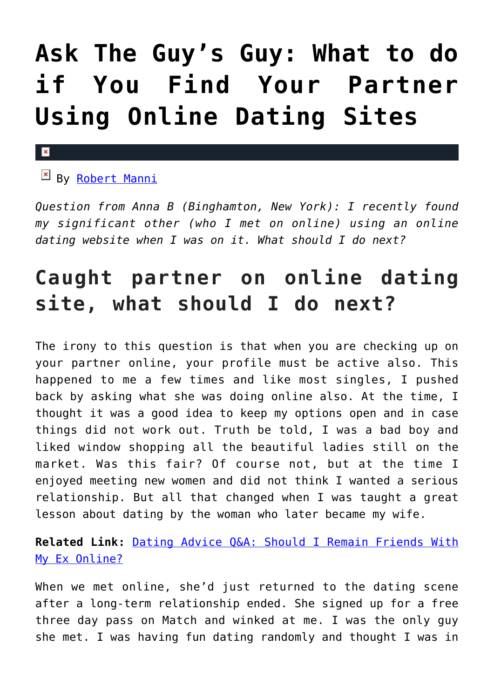## **[Ask The Guy's Guy: What to do](https://cupidspulse.com/127111/guys-guy-what-find-your-partner-using-online-dating-sites/) [if You Find Your Partner](https://cupidspulse.com/127111/guys-guy-what-find-your-partner-using-online-dating-sites/) [Using Online Dating Sites](https://cupidspulse.com/127111/guys-guy-what-find-your-partner-using-online-dating-sites/)**

### $\mathbf x$

**EX By [Robert Manni](http://cupidspulse.com/relationship-experts/robertmanni/)** 

*Question from Anna B (Binghamton, New York): I recently found my significant other (who I met on online) using an online dating website when I was on it. What should I do next?*

## **Caught partner on online dating site, what should I do next?**

The irony to this question is that when you are checking up on your partner online, your profile must be active also. This happened to me a few times and like most singles, I pushed back by asking what she was doing online also. At the time, I thought it was a good idea to keep my options open and in case things did not work out. Truth be told, I was a bad boy and liked window shopping all the beautiful ladies still on the market. Was this fair? Of course not, but at the time I enjoyed meeting new women and did not think I wanted a serious relationship. But all that changed when I was taught a great lesson about dating by the woman who later became my wife.

**Related Link:** [Dating Advice Q&A: Should I Remain Friends With](http://cupidspulse.com/123254/dating-advice-remain-friends-with-my-ex-online/) [My Ex Online?](http://cupidspulse.com/123254/dating-advice-remain-friends-with-my-ex-online/)

When we met online, she'd just returned to the dating scene after a long-term relationship ended. She signed up for a free three day pass on Match and winked at me. I was the only guy she met. I was having fun dating randomly and thought I was in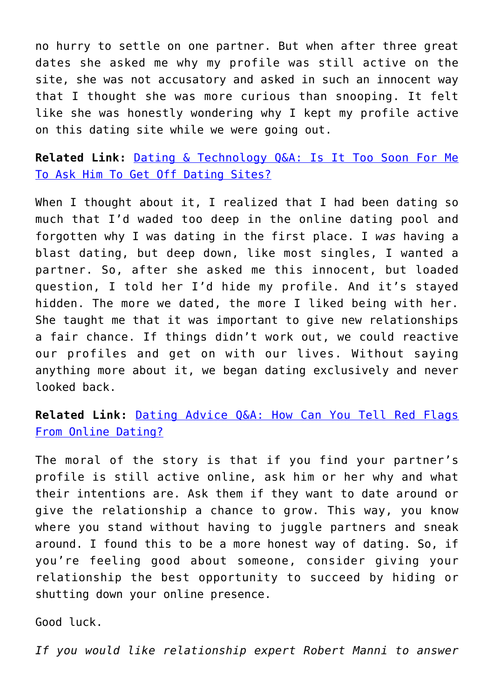no hurry to settle on one partner. But when after three great dates she asked me why my profile was still active on the site, she was not accusatory and asked in such an innocent way that I thought she was more curious than snooping. It felt like she was honestly wondering why I kept my profile active on this dating site while we were going out.

**Related Link:** [Dating & Technology Q&A: Is It Too Soon For Me](http://cupidspulse.com/120504/dating-technology-qa-too-soon-off-dating-sites/) [To Ask Him To Get Off Dating Sites?](http://cupidspulse.com/120504/dating-technology-qa-too-soon-off-dating-sites/)

When I thought about it, I realized that I had been dating so much that I'd waded too deep in the online dating pool and forgotten why I was dating in the first place. I *was* having a blast dating, but deep down, like most singles, I wanted a partner. So, after she asked me this innocent, but loaded question, I told her I'd hide my profile. And it's stayed hidden. The more we dated, the more I liked being with her. She taught me that it was important to give new relationships a fair chance. If things didn't work out, we could reactive our profiles and get on with our lives. Without saying anything more about it, we began dating exclusively and never looked back.

**Related Link:** [Dating Advice Q&A: How Can You Tell Red Flags](http://cupidspulse.com/114717/dating-advice-tell-red-flags-online/) [From Online Dating?](http://cupidspulse.com/114717/dating-advice-tell-red-flags-online/)

The moral of the story is that if you find your partner's profile is still active online, ask him or her why and what their intentions are. Ask them if they want to date around or give the relationship a chance to grow. This way, you know where you stand without having to juggle partners and sneak around. I found this to be a more honest way of dating. So, if you're feeling good about someone, consider giving your relationship the best opportunity to succeed by hiding or shutting down your online presence.

Good luck.

*If you would like relationship expert Robert Manni to answer*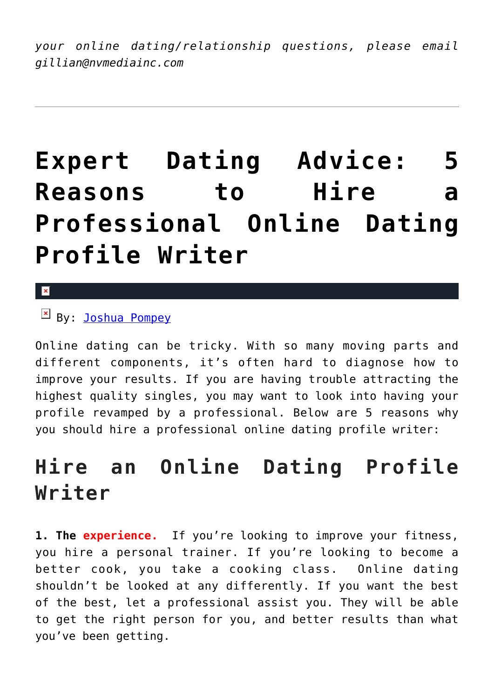*your online dating/relationship questions, please email gillian@nvmediainc.com* 

## **[Expert Dating Advice: 5](https://cupidspulse.com/127108/expert-dating-advice-5-reasons-hire-professional-online-dating-profile-writer/) [Reasons to Hire a](https://cupidspulse.com/127108/expert-dating-advice-5-reasons-hire-professional-online-dating-profile-writer/) [Professional Online Dating](https://cupidspulse.com/127108/expert-dating-advice-5-reasons-hire-professional-online-dating-profile-writer/) [Profile Writer](https://cupidspulse.com/127108/expert-dating-advice-5-reasons-hire-professional-online-dating-profile-writer/)**

 $\overline{\mathbf{x}}$ 

By: [Joshua Pompey](http://cupidspulse.com/relationship-experts/joshua-pompey/)

Online dating can be tricky. With so many moving parts and different components, it's often hard to diagnose how to improve your results. If you are having trouble attracting the highest quality singles, you may want to look into having your profile revamped by a professional. Below are 5 reasons why you should hire a professional online dating profile writer:

### **Hire an Online Dating Profile Writer**

**1. The experience.** If you're looking to improve your fitness, you hire a personal trainer. If you're looking to become a better cook, you take a cooking class. Online dating shouldn't be looked at any differently. If you want the best of the best, let a professional assist you. They will be able to get the right person for you, and better results than what you've been getting.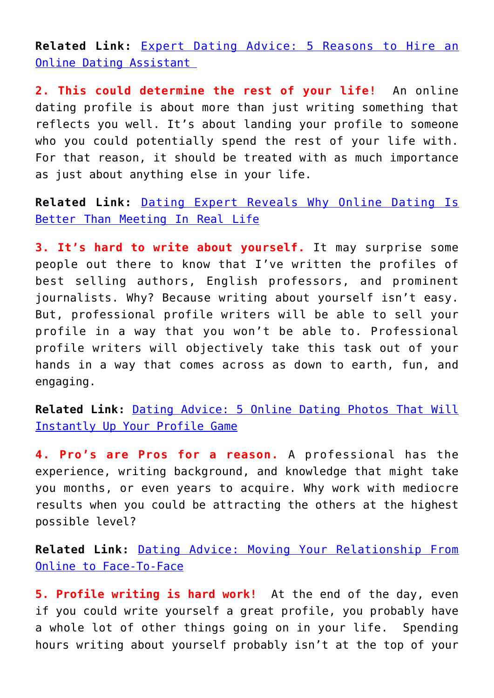**Related Link:** [Expert Dating Advice: 5 Reasons to Hire an](http://cupidspulse.com/126632/expert-dating-advice-5-reasons-to-hire-a-online-dating-assistant/) [Online Dating Assistant](http://cupidspulse.com/126632/expert-dating-advice-5-reasons-to-hire-a-online-dating-assistant/) 

**2. This could determine the rest of your life!** An online dating profile is about more than just writing something that reflects you well. It's about landing your profile to someone who you could potentially spend the rest of your life with. For that reason, it should be treated with as much importance as just about anything else in your life.

**Related Link:** [Dating Expert Reveals Why Online Dating Is](http://cupidspulse.com/121545/dating-expert-why-online-dating-is-better-than-meeting-in-real-life/) [Better Than Meeting In Real Life](http://cupidspulse.com/121545/dating-expert-why-online-dating-is-better-than-meeting-in-real-life/)

**3. It's hard to write about yourself.** It may surprise some people out there to know that I've written the profiles of best selling authors, English professors, and prominent journalists. Why? Because writing about yourself isn't easy. But, professional profile writers will be able to sell your profile in a way that you won't be able to. Professional profile writers will objectively take this task out of your hands in a way that comes across as down to earth, fun, and engaging.

**Related Link:** [Dating Advice: 5 Online Dating Photos That Will](http://cupidspulse.com/117783/dating-advice-5-online-dating-photos/) [Instantly Up Your Profile Game](http://cupidspulse.com/117783/dating-advice-5-online-dating-photos/)

**4. Pro's are Pros for a reason.** A professional has the experience, writing background, and knowledge that might take you months, or even years to acquire. Why work with mediocre results when you could be attracting the others at the highest possible level?

**Related Link:** [Dating Advice: Moving Your Relationship From](http://cupidspulse.com/105412/dating-advice-joshua-pompey-online-relationships/) [Online to Face-To-Face](http://cupidspulse.com/105412/dating-advice-joshua-pompey-online-relationships/)

**5. Profile writing is hard work!** At the end of the day, even if you could write yourself a great profile, you probably have a whole lot of other things going on in your life. Spending hours writing about yourself probably isn't at the top of your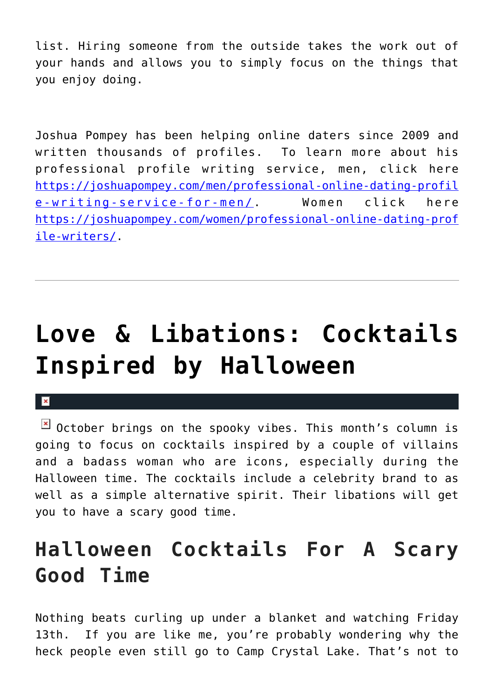list. Hiring someone from the outside takes the work out of your hands and allows you to simply focus on the things that you enjoy doing.

Joshua Pompey has been helping online daters since 2009 and written thousands of profiles. To learn more about his professional profile writing service, men, click here [https://joshuapompey.com/men/professional-online-dating-profil](https://joshuapompey.com/men/professional-online-dating-profile-writing-service-for-men/) [e-writing-service-for-men/.](https://joshuapompey.com/men/professional-online-dating-profile-writing-service-for-men/) Women click here [https://joshuapompey.com/women/professional-online-dating-prof](https://joshuapompey.com/women/professional-online-dating-profile-writers/) [ile-writers/](https://joshuapompey.com/women/professional-online-dating-profile-writers/).

## **[Love & Libations: Cocktails](https://cupidspulse.com/127092/love-libations-cocktails-inspired-halloween/) [Inspired by Halloween](https://cupidspulse.com/127092/love-libations-cocktails-inspired-halloween/)**

 $\mathbf{x}$ 

 $\boxed{\times}$  October brings on the spooky vibes. This month's column is going to focus on cocktails inspired by a couple of villains and a badass woman who are icons, especially during the Halloween time. The cocktails include a celebrity brand to as well as a simple alternative spirit. Their libations will get you to have a scary good time.

## **Halloween Cocktails For A Scary Good Time**

Nothing beats curling up under a blanket and watching Friday 13th. If you are like me, you're probably wondering why the heck people even still go to Camp Crystal Lake. That's not to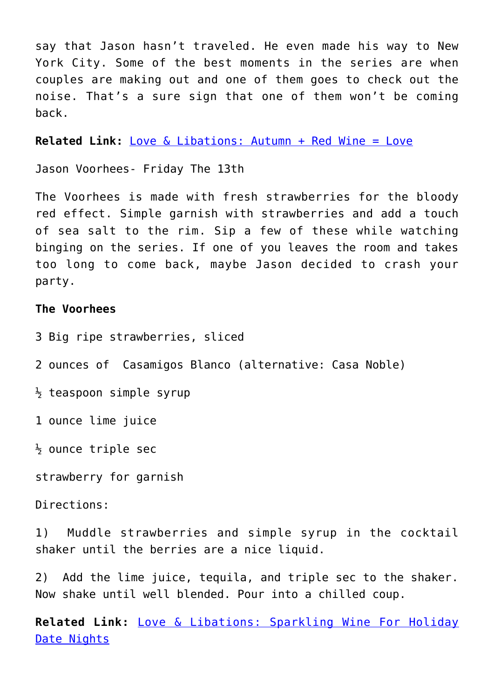say that Jason hasn't traveled. He even made his way to New York City. Some of the best moments in the series are when couples are making out and one of them goes to check out the noise. That's a sure sign that one of them won't be coming back.

**Related Link:** [Love & Libations: Autumn + Red Wine = Love](http://cupidspulse.com/126761/love-libations-autumn-red-wine-love/)

Jason Voorhees- Friday The 13th

The Voorhees is made with fresh strawberries for the bloody red effect. Simple garnish with strawberries and add a touch of sea salt to the rim. Sip a few of these while watching binging on the series. If one of you leaves the room and takes too long to come back, maybe Jason decided to crash your party.

### **The Voorhees**

- 3 Big ripe strawberries, sliced
- 2 ounces of Casamigos Blanco (alternative: Casa Noble)
- $\frac{1}{2}$  teaspoon simple syrup
- 1 ounce lime juice
- $\frac{1}{2}$  ounce triple sec

strawberry for garnish

Directions:

1) Muddle strawberries and simple syrup in the cocktail shaker until the berries are a nice liquid.

2) Add the lime juice, tequila, and triple sec to the shaker. Now shake until well blended. Pour into a chilled coup.

**Related Link:** [Love & Libations: Sparkling Wine For Holiday](http://cupidspulse.com/122080/love-libations-sparkling-wine-for-holiday-date-nights/) [Date Nights](http://cupidspulse.com/122080/love-libations-sparkling-wine-for-holiday-date-nights/)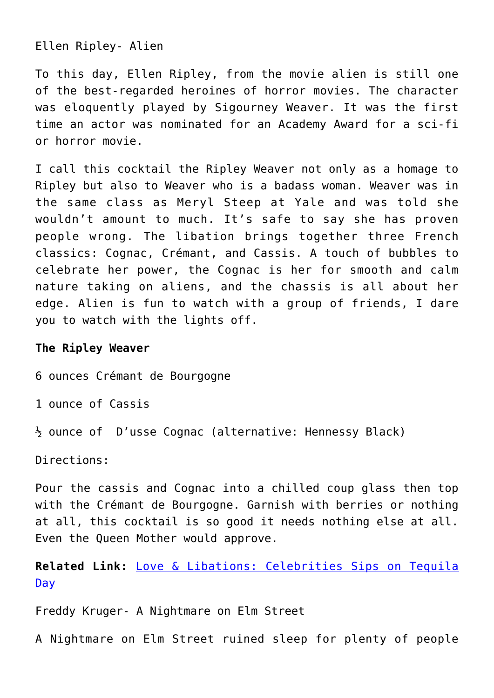Ellen Ripley- Alien

To this day, Ellen Ripley, from the movie alien is still one of the best-regarded heroines of horror movies. The character was eloquently played by Sigourney Weaver. It was the first time an actor was nominated for an Academy Award for a sci-fi or horror movie.

I call this cocktail the Ripley Weaver not only as a homage to Ripley but also to Weaver who is a badass woman. Weaver was in the same class as Meryl Steep at Yale and was told she wouldn't amount to much. It's safe to say she has proven people wrong. The libation brings together three French classics: Cognac, Crémant, and Cassis. A touch of bubbles to celebrate her power, the Cognac is her for smooth and calm nature taking on aliens, and the chassis is all about her edge. Alien is fun to watch with a group of friends, I dare you to watch with the lights off.

#### **The Ripley Weaver**

6 ounces Crémant de Bourgogne

1 ounce of Cassis

½ ounce of D'usse Cognac (alternative: Hennessy Black)

Directions:

Pour the cassis and Cognac into a chilled coup glass then top with the Crémant de Bourgogne. Garnish with berries or nothing at all, this cocktail is so good it needs nothing else at all. Even the Queen Mother would approve.

**Related Link:** [Love & Libations: Celebrities Sips on Tequila](http://cupidspulse.com/125760/love-libations-celebrity-tequila-day/) <u>[Day](http://cupidspulse.com/125760/love-libations-celebrity-tequila-day/)</u>

Freddy Kruger- A Nightmare on Elm Street

A Nightmare on Elm Street ruined sleep for plenty of people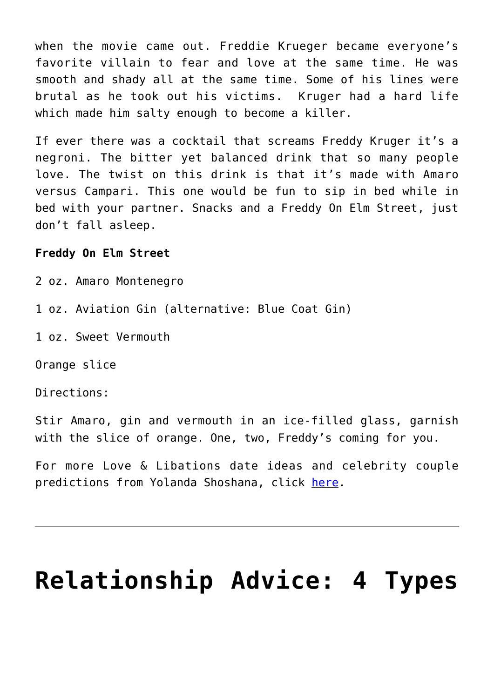when the movie came out. Freddie Krueger became everyone's favorite villain to fear and love at the same time. He was smooth and shady all at the same time. Some of his lines were brutal as he took out his victims. Kruger had a hard life which made him salty enough to become a killer.

If ever there was a cocktail that screams Freddy Kruger it's a negroni. The bitter yet balanced drink that so many people love. The twist on this drink is that it's made with Amaro versus Campari. This one would be fun to sip in bed while in bed with your partner. Snacks and a Freddy On Elm Street, just don't fall asleep.

### **Freddy On Elm Street**

2 oz. Amaro Montenegro

1 oz. Aviation Gin (alternative: Blue Coat Gin)

1 oz. Sweet Vermouth

Orange slice

Directions:

Stir Amaro, gin and vermouth in an ice-filled glass, garnish with the slice of orange. One, two, Freddy's coming for you.

For more Love & Libations date ideas and celebrity couple predictions from Yolanda Shoshana, click [here](http://cupidspulse.com/relationship-experts/yolanda-shoshana/).

## **[Relationship Advice: 4 Types](https://cupidspulse.com/127074/men-you-meet-online/)**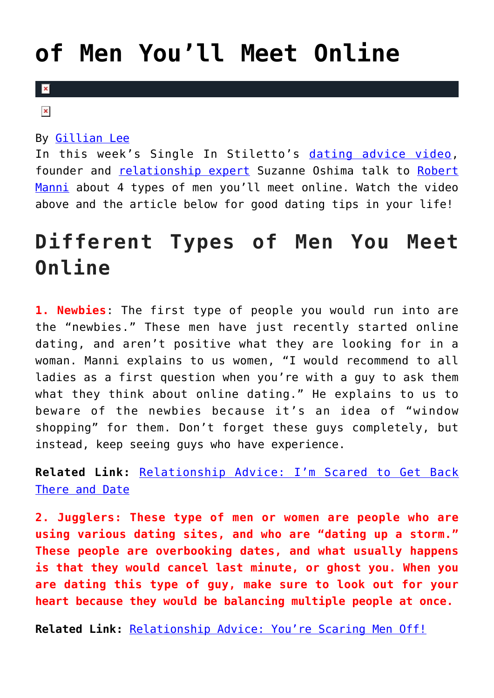## **[of Men You'll Meet Online](https://cupidspulse.com/127074/men-you-meet-online/)**

### $\mathbf{R}$

 $\pmb{\times}$ 

### By [Gillian Lee](http://cupidspulse.com/128272/gillian-lee/)

In this week's Single In Stiletto's [dating advice video,](http://cupidspulse.com/videos/dating-advice-videos/) founder and [relationship expert](http://cupidspulse.com/relationship-experts/) Suzanne Oshima talk to [Robert](http://cupidspulse.com/relationship-experts/robertmanni/) [Manni](http://cupidspulse.com/relationship-experts/robertmanni/) about 4 types of men you'll meet online. Watch the video above and the article below for good dating tips in your life!

### **Different Types of Men You Meet Online**

**1. Newbies**: The first type of people you would run into are the "newbies." These men have just recently started online dating, and aren't positive what they are looking for in a woman. Manni explains to us women, "I would recommend to all ladies as a first question when you're with a guy to ask them what they think about online dating." He explains to us to beware of the newbies because it's an idea of "window shopping" for them. Don't forget these guys completely, but instead, keep seeing guys who have experience.

**Related Link:** [Relationship Advice: I'm Scared to Get Back](http://cupidspulse.com/124502/relationship-advice-scared-to-date/) [There and Date](http://cupidspulse.com/124502/relationship-advice-scared-to-date/)

**2. Jugglers: These type of men or women are people who are using various dating sites, and who are "dating up a storm." These people are overbooking dates, and what usually happens is that they would cancel last minute, or ghost you. When you are dating this type of guy, make sure to look out for your heart because they would be balancing multiple people at once.**

**Related Link:** [Relationship Advice: You're Scaring Men Off!](http://cupidspulse.com/125976/relationship-advice-youre-scaring-men-off/)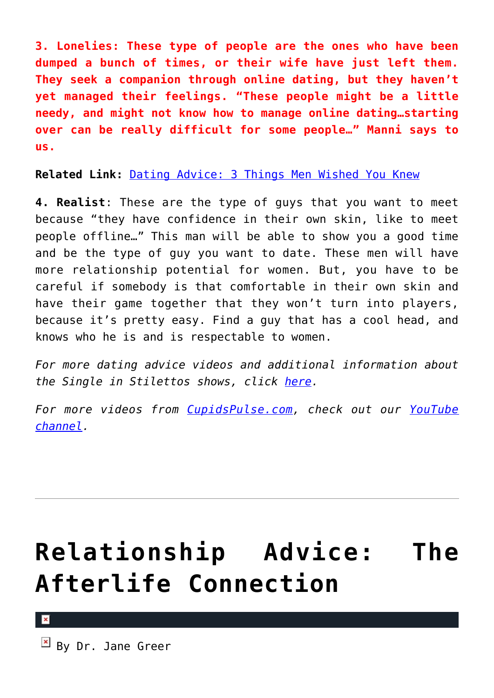**3. Lonelies: These type of people are the ones who have been dumped a bunch of times, or their wife have just left them. They seek a companion through online dating, but they haven't yet managed their feelings. "These people might be a little needy, and might not know how to manage online dating…starting over can be really difficult for some people…" Manni says to us.**

**Related Link:** [Dating Advice: 3 Things Men Wished You Knew](http://cupidspulse.com/126389/dating-advice-3-things-men-wish/)

**4. Realist**: These are the type of guys that you want to meet because "they have confidence in their own skin, like to meet people offline…" This man will be able to show you a good time and be the type of guy you want to date. These men will have more relationship potential for women. But, you have to be careful if somebody is that comfortable in their own skin and have their game together that they won't turn into players, because it's pretty easy. Find a guy that has a cool head, and knows who he is and is respectable to women.

*For more dating advice videos and additional information about the Single in Stilettos shows, click [here.](http://cupidspulse.com/relationship-experts/suzanne-oshima-single-in-stilettos-shows/)*

*For more videos from [CupidsPulse.com](http://cupidspulse.com/), check out our [YouTube](https://www.youtube.com/user/CupidsPulse) [channel](https://www.youtube.com/user/CupidsPulse).*

# **[Relationship Advice: The](https://cupidspulse.com/127045/relationship-advice-afterlife-connection-dr-jane-greer/) [Afterlife Connection](https://cupidspulse.com/127045/relationship-advice-afterlife-connection-dr-jane-greer/)**

 $\mathbb{F}$  By Dr. Jane Greer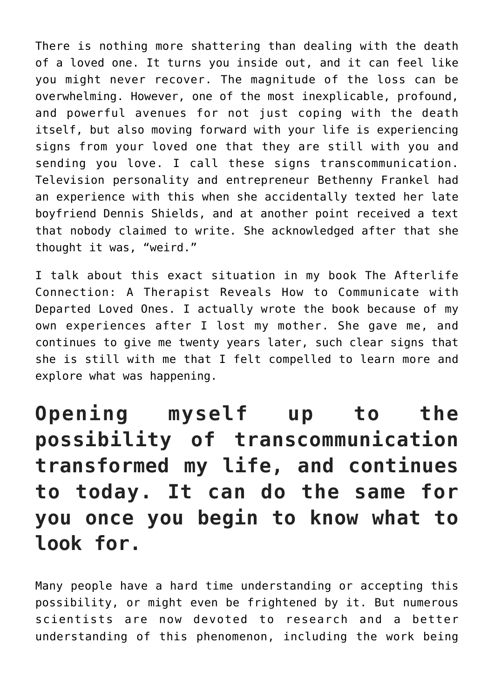There is nothing more shattering than dealing with the death of a loved one. It turns you inside out, and it can feel like you might never recover. The magnitude of the loss can be overwhelming. However, one of the most inexplicable, profound, and powerful avenues for not just coping with the death itself, but also moving forward with your life is experiencing signs from your loved one that they are still with you and sending you love. I call these signs transcommunication. Television personality and entrepreneur Bethenny Frankel had an experience with this when she accidentally texted her late boyfriend Dennis Shields, and at another point received a text that nobody claimed to write. She acknowledged after that she thought it was, "weird."

I talk about this exact situation in my book The Afterlife Connection: A Therapist Reveals How to Communicate with Departed Loved Ones. I actually wrote the book because of my own experiences after I lost my mother. She gave me, and continues to give me twenty years later, such clear signs that she is still with me that I felt compelled to learn more and explore what was happening.

**Opening myself up to the possibility of transcommunication transformed my life, and continues to today. It can do the same for you once you begin to know what to look for.**

Many people have a hard time understanding or accepting this possibility, or might even be frightened by it. But numerous scientists are now devoted to research and a better understanding of this phenomenon, including the work being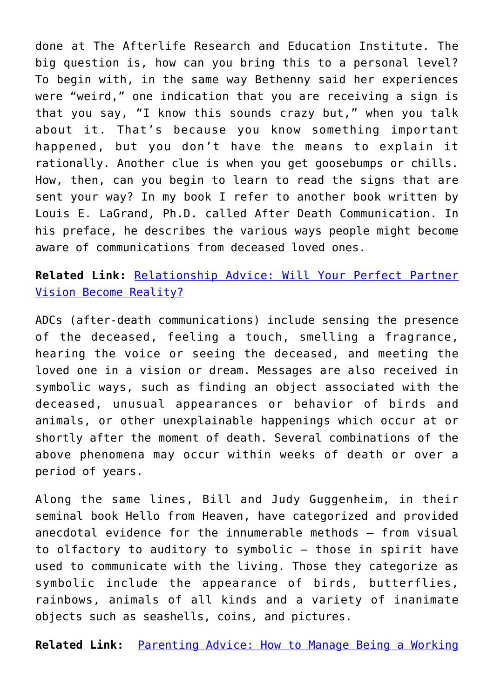done at The Afterlife Research and Education Institute. The big question is, how can you bring this to a personal level? To begin with, in the same way Bethenny said her experiences were "weird," one indication that you are receiving a sign is that you say, "I know this sounds crazy but," when you talk about it. That's because you know something important happened, but you don't have the means to explain it rationally. Another clue is when you get goosebumps or chills. How, then, can you begin to learn to read the signs that are sent your way? In my book I refer to another book written by Louis E. LaGrand, Ph.D. called After Death Communication. In his preface, he describes the various ways people might become aware of communications from deceased loved ones.

**Related Link:** [Relationship Advice: Will Your Perfect Partner](http://cupidspulse.com/126956/relationship-advice-perfect-partner-vision-become-reality/) [Vision Become Reality?](http://cupidspulse.com/126956/relationship-advice-perfect-partner-vision-become-reality/)

ADCs (after-death communications) include sensing the presence of the deceased, feeling a touch, smelling a fragrance, hearing the voice or seeing the deceased, and meeting the loved one in a vision or dream. Messages are also received in symbolic ways, such as finding an object associated with the deceased, unusual appearances or behavior of birds and animals, or other unexplainable happenings which occur at or shortly after the moment of death. Several combinations of the above phenomena may occur within weeks of death or over a period of years.

Along the same lines, Bill and Judy Guggenheim, in their seminal book Hello from Heaven, have categorized and provided anecdotal evidence for the innumerable methods – from visual to olfactory to auditory to symbolic – those in spirit have used to communicate with the living. Those they categorize as symbolic include the appearance of birds, butterflies, rainbows, animals of all kinds and a variety of inanimate objects such as seashells, coins, and pictures.

**Related Link:** [Parenting Advice: How to Manage Being a Working](http://cupidspulse.com/126845/parenting-advice-working-parents-dr-jane-greer/)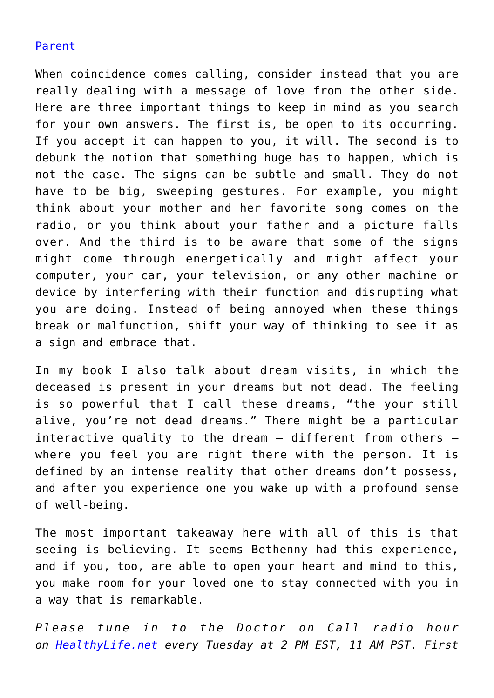### [Parent](http://cupidspulse.com/126845/parenting-advice-working-parents-dr-jane-greer/)

When coincidence comes calling, consider instead that you are really dealing with a message of love from the other side. Here are three important things to keep in mind as you search for your own answers. The first is, be open to its occurring. If you accept it can happen to you, it will. The second is to debunk the notion that something huge has to happen, which is not the case. The signs can be subtle and small. They do not have to be big, sweeping gestures. For example, you might think about your mother and her favorite song comes on the radio, or you think about your father and a picture falls over. And the third is to be aware that some of the signs might come through energetically and might affect your computer, your car, your television, or any other machine or device by interfering with their function and disrupting what you are doing. Instead of being annoyed when these things break or malfunction, shift your way of thinking to see it as a sign and embrace that.

In my book I also talk about dream visits, in which the deceased is present in your dreams but not dead. The feeling is so powerful that I call these dreams, "the your still alive, you're not dead dreams." There might be a particular interactive quality to the dream – different from others – where you feel you are right there with the person. It is defined by an intense reality that other dreams don't possess, and after you experience one you wake up with a profound sense of well-being.

The most important takeaway here with all of this is that seeing is believing. It seems Bethenny had this experience, and if you, too, are able to open your heart and mind to this, you make room for your loved one to stay connected with you in a way that is remarkable.

*Please tune in to the Doctor on Call radio hour on [HealthyLife.net](http://www.healthylife.net/) every Tuesday at 2 PM EST, 11 AM PST. First*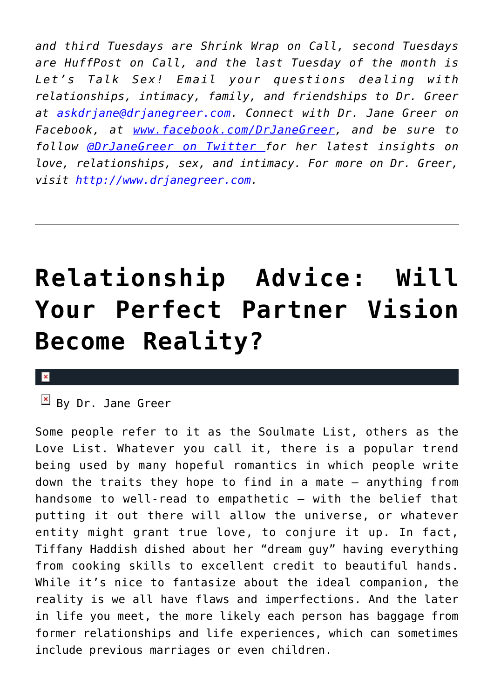*and third Tuesdays are Shrink Wrap on Call, second Tuesdays are HuffPost on Call, and the last Tuesday of the month is Let's Talk Sex! Email your questions dealing with relationships, intimacy, family, and friendships to Dr. Greer at [askdrjane@drjanegreer.com](mailto:askdrjane@drjanegreer.com). Connect with Dr. Jane Greer on Facebook, at [www.facebook.com/DrJaneGreer,](http://www.facebook.com/DrJaneGreer) and be sure to follow [@DrJaneGreer on Twitter f](https://twitter.com/#!/DrJaneGreer)or her latest insights on love, relationships, sex, and intimacy. For more on Dr. Greer, visit [http://www.drjanegreer.com.](http://www.drjanegreer.com/)*

## **[Relationship Advice: Will](https://cupidspulse.com/126956/relationship-advice-perfect-partner-vision-become-reality/) [Your Perfect Partner Vision](https://cupidspulse.com/126956/relationship-advice-perfect-partner-vision-become-reality/) [Become Reality?](https://cupidspulse.com/126956/relationship-advice-perfect-partner-vision-become-reality/)**

#### $\pmb{\times}$

 $\overline{B}$  By Dr. Jane Greer

Some people refer to it as the Soulmate List, others as the Love List. Whatever you call it, there is a popular trend being used by many hopeful romantics in which people write down the traits they hope to find in a mate – anything from handsome to well-read to empathetic – with the belief that putting it out there will allow the universe, or whatever entity might grant true love, to conjure it up. In fact, Tiffany Haddish dished about her "dream guy" having everything from cooking skills to excellent credit to beautiful hands. While it's nice to fantasize about the ideal companion, the reality is we all have flaws and imperfections. And the later in life you meet, the more likely each person has baggage from former relationships and life experiences, which can sometimes include previous marriages or even children.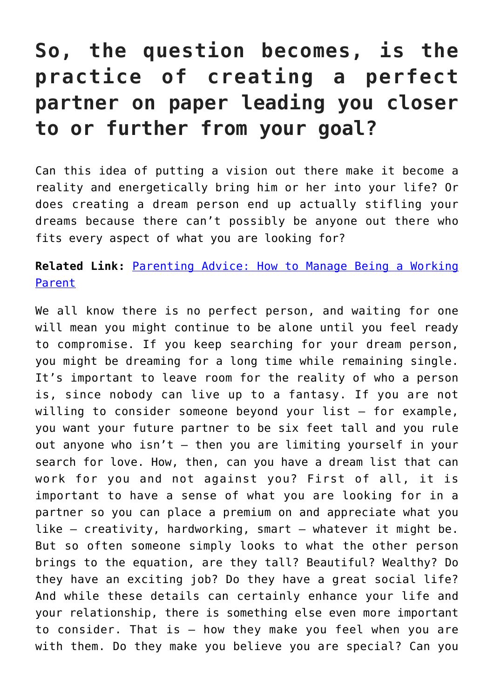### **So, the question becomes, is the practice of creating a perfect partner on paper leading you closer to or further from your goal?**

Can this idea of putting a vision out there make it become a reality and energetically bring him or her into your life? Or does creating a dream person end up actually stifling your dreams because there can't possibly be anyone out there who fits every aspect of what you are looking for?

### **Related Link:** [Parenting Advice: How to Manage Being a Working](http://cupidspulse.com/126845/parenting-advice-working-parents-dr-jane-greer/) [Parent](http://cupidspulse.com/126845/parenting-advice-working-parents-dr-jane-greer/)

We all know there is no perfect person, and waiting for one will mean you might continue to be alone until you feel ready to compromise. If you keep searching for your dream person, you might be dreaming for a long time while remaining single. It's important to leave room for the reality of who a person is, since nobody can live up to a fantasy. If you are not willing to consider someone beyond your list – for example, you want your future partner to be six feet tall and you rule out anyone who isn't – then you are limiting yourself in your search for love. How, then, can you have a dream list that can work for you and not against you? First of all, it is important to have a sense of what you are looking for in a partner so you can place a premium on and appreciate what you like – creativity, hardworking, smart – whatever it might be. But so often someone simply looks to what the other person brings to the equation, are they tall? Beautiful? Wealthy? Do they have an exciting job? Do they have a great social life? And while these details can certainly enhance your life and your relationship, there is something else even more important to consider. That is – how they make you feel when you are with them. Do they make you believe you are special? Can you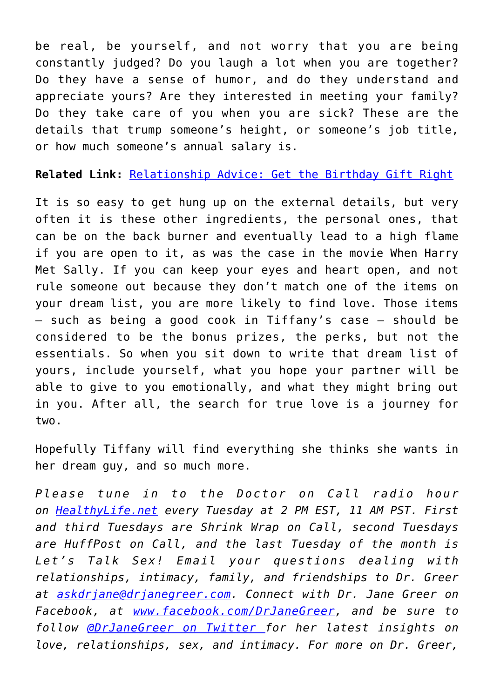be real, be yourself, and not worry that you are being constantly judged? Do you laugh a lot when you are together? Do they have a sense of humor, and do they understand and appreciate yours? Are they interested in meeting your family? Do they take care of you when you are sick? These are the details that trump someone's height, or someone's job title, or how much someone's annual salary is.

**Related Link:** [Relationship Advice: Get the Birthday Gift Right](http://cupidspulse.com/126713/relationship-advice-get-birthday-gift-right/)

It is so easy to get hung up on the external details, but very often it is these other ingredients, the personal ones, that can be on the back burner and eventually lead to a high flame if you are open to it, as was the case in the movie When Harry Met Sally. If you can keep your eyes and heart open, and not rule someone out because they don't match one of the items on your dream list, you are more likely to find love. Those items – such as being a good cook in Tiffany's case – should be considered to be the bonus prizes, the perks, but not the essentials. So when you sit down to write that dream list of yours, include yourself, what you hope your partner will be able to give to you emotionally, and what they might bring out in you. After all, the search for true love is a journey for two.

Hopefully Tiffany will find everything she thinks she wants in her dream guy, and so much more.

*Please tune in to the Doctor on Call radio hour on [HealthyLife.net](http://www.healthylife.net/) every Tuesday at 2 PM EST, 11 AM PST. First and third Tuesdays are Shrink Wrap on Call, second Tuesdays are HuffPost on Call, and the last Tuesday of the month is Let's Talk Sex! Email your questions dealing with relationships, intimacy, family, and friendships to Dr. Greer at [askdrjane@drjanegreer.com](mailto:askdrjane@drjanegreer.com). Connect with Dr. Jane Greer on Facebook, at [www.facebook.com/DrJaneGreer,](http://www.facebook.com/DrJaneGreer) and be sure to follow [@DrJaneGreer on Twitter f](https://twitter.com/#!/DrJaneGreer)or her latest insights on love, relationships, sex, and intimacy. For more on Dr. Greer,*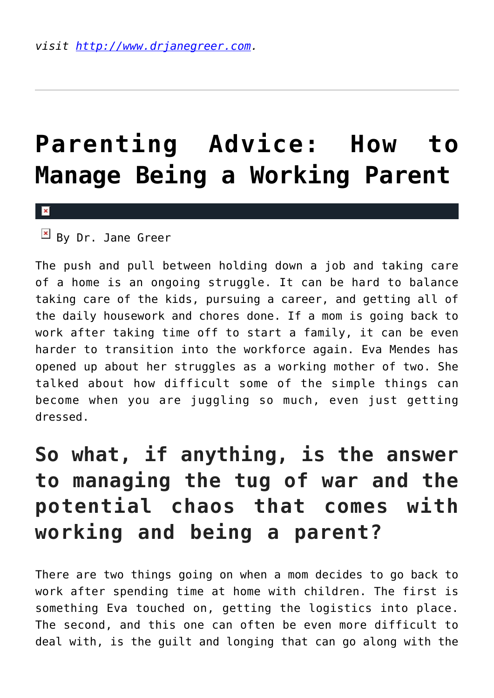## **[Parenting Advice: How to](https://cupidspulse.com/126845/parenting-advice-working-parents-dr-jane-greer/) [Manage Being a Working Parent](https://cupidspulse.com/126845/parenting-advice-working-parents-dr-jane-greer/)**

#### $\mathbf x$

 $By$  Dr. Jane Greer

The push and pull between holding down a job and taking care of a home is an ongoing struggle. It can be hard to balance taking care of the kids, pursuing a career, and getting all of the daily housework and chores done. If a mom is going back to work after taking time off to start a family, it can be even harder to transition into the workforce again. Eva Mendes has opened up about her struggles as a working mother of two. She talked about how difficult some of the simple things can become when you are juggling so much, even just getting dressed.

### **So what, if anything, is the answer to managing the tug of war and the potential chaos that comes with working and being a parent?**

There are two things going on when a mom decides to go back to work after spending time at home with children. The first is something Eva touched on, getting the logistics into place. The second, and this one can often be even more difficult to deal with, is the guilt and longing that can go along with the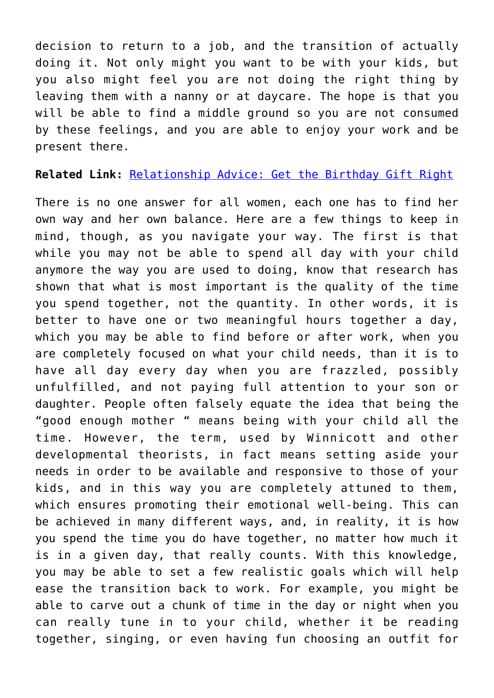decision to return to a job, and the transition of actually doing it. Not only might you want to be with your kids, but you also might feel you are not doing the right thing by leaving them with a nanny or at daycare. The hope is that you will be able to find a middle ground so you are not consumed by these feelings, and you are able to enjoy your work and be present there.

**Related Link:** [Relationship Advice: Get the Birthday Gift Right](http://cupidspulse.com/126713/relationship-advice-get-birthday-gift-right/)

There is no one answer for all women, each one has to find her own way and her own balance. Here are a few things to keep in mind, though, as you navigate your way. The first is that while you may not be able to spend all day with your child anymore the way you are used to doing, know that research has shown that what is most important is the quality of the time you spend together, not the quantity. In other words, it is better to have one or two meaningful hours together a day, which you may be able to find before or after work, when you are completely focused on what your child needs, than it is to have all day every day when you are frazzled, possibly unfulfilled, and not paying full attention to your son or daughter. People often falsely equate the idea that being the "good enough mother " means being with your child all the time. However, the term, used by Winnicott and other developmental theorists, in fact means setting aside your needs in order to be available and responsive to those of your kids, and in this way you are completely attuned to them, which ensures promoting their emotional well-being. This can be achieved in many different ways, and, in reality, it is how you spend the time you do have together, no matter how much it is in a given day, that really counts. With this knowledge, you may be able to set a few realistic goals which will help ease the transition back to work. For example, you might be able to carve out a chunk of time in the day or night when you can really tune in to your child, whether it be reading together, singing, or even having fun choosing an outfit for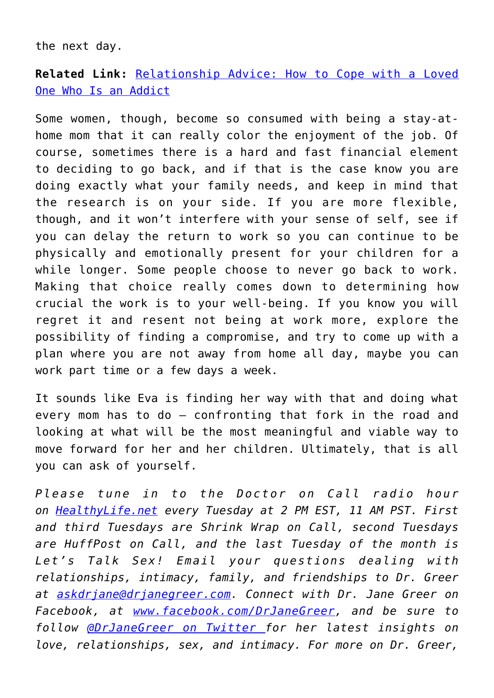the next day.

**Related Link:** [Relationship Advice: How to Cope with a Loved](http://cupidspulse.com/126648/relationship-advice-cope-addicted-loved-one-dr-jane-greer/) [One Who Is an Addict](http://cupidspulse.com/126648/relationship-advice-cope-addicted-loved-one-dr-jane-greer/)

Some women, though, become so consumed with being a stay-athome mom that it can really color the enjoyment of the job. Of course, sometimes there is a hard and fast financial element to deciding to go back, and if that is the case know you are doing exactly what your family needs, and keep in mind that the research is on your side. If you are more flexible, though, and it won't interfere with your sense of self, see if you can delay the return to work so you can continue to be physically and emotionally present for your children for a while longer. Some people choose to never go back to work. Making that choice really comes down to determining how crucial the work is to your well-being. If you know you will regret it and resent not being at work more, explore the possibility of finding a compromise, and try to come up with a plan where you are not away from home all day, maybe you can work part time or a few days a week.

It sounds like Eva is finding her way with that and doing what every mom has to do – confronting that fork in the road and looking at what will be the most meaningful and viable way to move forward for her and her children. Ultimately, that is all you can ask of yourself.

*Please tune in to the Doctor on Call radio hour on [HealthyLife.net](http://www.healthylife.net/) every Tuesday at 2 PM EST, 11 AM PST. First and third Tuesdays are Shrink Wrap on Call, second Tuesdays are HuffPost on Call, and the last Tuesday of the month is Let's Talk Sex! Email your questions dealing with relationships, intimacy, family, and friendships to Dr. Greer at [askdrjane@drjanegreer.com](mailto:askdrjane@drjanegreer.com). Connect with Dr. Jane Greer on Facebook, at [www.facebook.com/DrJaneGreer,](http://www.facebook.com/DrJaneGreer) and be sure to follow [@DrJaneGreer on Twitter f](https://twitter.com/#!/DrJaneGreer)or her latest insights on love, relationships, sex, and intimacy. For more on Dr. Greer,*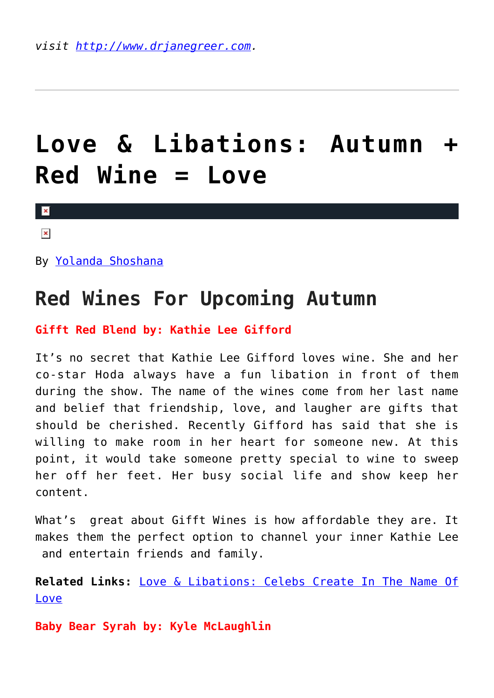## **[Love & Libations: Autumn +](https://cupidspulse.com/126761/love-libations-autumn-red-wine-love/) [Red Wine = Love](https://cupidspulse.com/126761/love-libations-autumn-red-wine-love/)**

 $\mathbf{R}$ 

 $\pmb{\times}$ 

By [Yolanda Shoshana](http://cupidspulse.com/relationship-experts/yolanda-shoshana/)

### **Red Wines For Upcoming Autumn**

### **Gifft Red Blend by: Kathie Lee Gifford**

It's no secret that Kathie Lee Gifford loves wine. She and her co-star Hoda always have a fun libation in front of them during the show. The name of the wines come from her last name and belief that friendship, love, and laugher are gifts that should be cherished. Recently Gifford has said that she is willing to make room in her heart for someone new. At this point, it would take someone pretty special to wine to sweep her off her feet. Her busy social life and show keep her content.

What's great about Gifft Wines is how affordable they are. It makes them the perfect option to channel your inner Kathie Lee and entertain friends and family.

**Related Links:** [Love & Libations: Celebs Create In The Name Of](http://cupidspulse.com/126313/love-libations-lets-create-love/) [Love](http://cupidspulse.com/126313/love-libations-lets-create-love/)

**Baby Bear Syrah by: Kyle McLaughlin**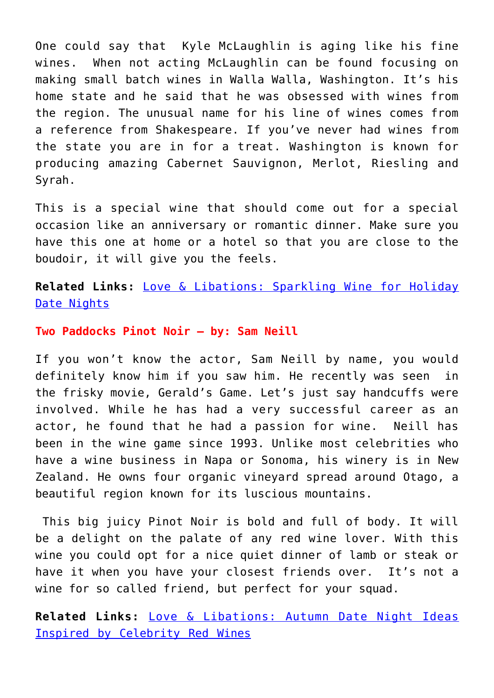One could say that Kyle McLaughlin is aging like his fine wines. When not acting McLaughlin can be found focusing on making small batch wines in Walla Walla, Washington. It's his home state and he said that he was obsessed with wines from the region. The unusual name for his line of wines comes from a reference from Shakespeare. If you've never had wines from the state you are in for a treat. Washington is known for producing amazing Cabernet Sauvignon, Merlot, Riesling and Syrah.

This is a special wine that should come out for a special occasion like an anniversary or romantic dinner. Make sure you have this one at home or a hotel so that you are close to the boudoir, it will give you the feels.

**Related Links:** [Love & Libations: Sparkling Wine for Holiday](http://cupidspulse.com/122080/love-libations-sparkling-wine-for-holiday-date-nights/) [Date Nights](http://cupidspulse.com/122080/love-libations-sparkling-wine-for-holiday-date-nights/)

#### **Two Paddocks Pinot Noir – by: Sam Neill**

If you won't know the actor, Sam Neill by name, you would definitely know him if you saw him. He recently was seen in the frisky movie, Gerald's Game. Let's just say handcuffs were involved. While he has had a very successful career as an actor, he found that he had a passion for wine. Neill has been in the wine game since 1993. Unlike most celebrities who have a wine business in Napa or Sonoma, his winery is in New Zealand. He owns four organic vineyard spread around Otago, a beautiful region known for its luscious mountains.

 This big juicy Pinot Noir is bold and full of body. It will be a delight on the palate of any red wine lover. With this wine you could opt for a nice quiet dinner of lamb or steak or have it when you have your closest friends over. It's not a wine for so called friend, but perfect for your squad.

**Related Links:** [Love & Libations: Autumn Date Night Ideas](http://cupidspulse.com/121075/autumn-date-night-ideas-celebrity-red-wines/) [Inspired by Celebrity Red Wines](http://cupidspulse.com/121075/autumn-date-night-ideas-celebrity-red-wines/)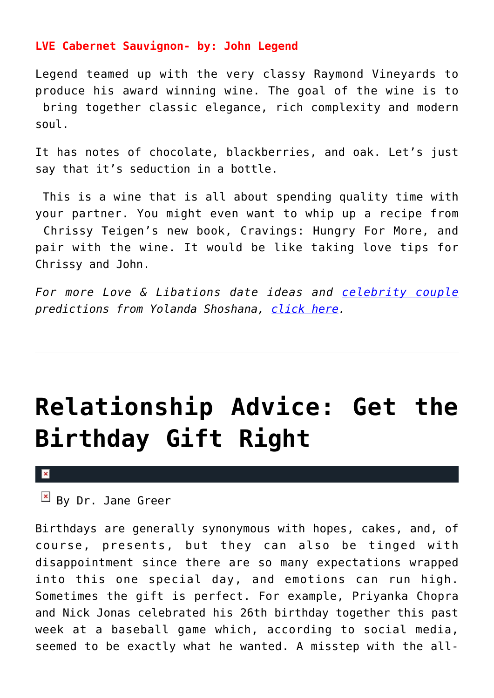### **LVE Cabernet Sauvignon- by: John Legend**

Legend teamed up with the very classy Raymond Vineyards to produce his award winning wine. The goal of the wine is to bring together classic elegance, rich complexity and modern soul.

It has notes of chocolate, blackberries, and oak. Let's just say that it's seduction in a bottle.

 This is a wine that is all about spending quality time with your partner. You might even want to whip up a recipe from Chrissy Teigen's new book, Cravings: Hungry For More, and pair with the wine. It would be like taking love tips for Chrissy and John.

*For more Love & Libations date ideas and [celebrity couple](http://cupidspulse.com/celebrity-news/celebrity-dating/) predictions from Yolanda Shoshana, [click here](http://cupidspulse.com/relationship-experts/yolanda-shoshana/).*

## **[Relationship Advice: Get the](https://cupidspulse.com/126713/relationship-advice-get-birthday-gift-right/) [Birthday Gift Right](https://cupidspulse.com/126713/relationship-advice-get-birthday-gift-right/)**

#### $\pmb{\times}$

 $\mathbb{F}$  By Dr. Jane Greer

Birthdays are generally synonymous with hopes, cakes, and, of course, presents, but they can also be tinged with disappointment since there are so many expectations wrapped into this one special day, and emotions can run high. Sometimes the gift is perfect. For example, Priyanka Chopra and Nick Jonas celebrated his 26th birthday together this past week at a baseball game which, according to social media, seemed to be exactly what he wanted. A misstep with the all-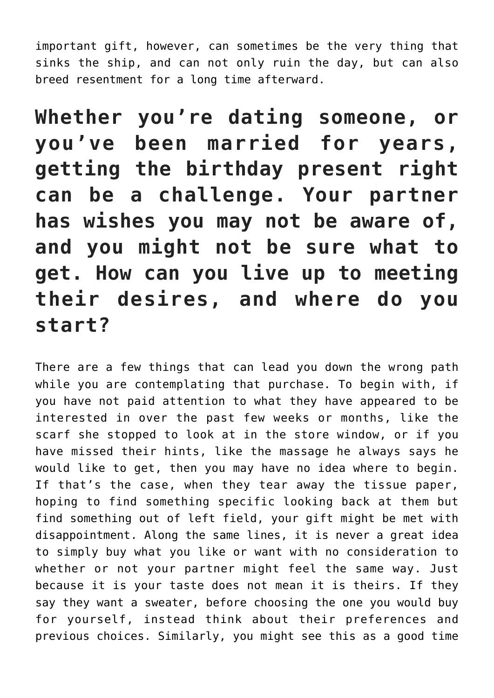important gift, however, can sometimes be the very thing that sinks the ship, and can not only ruin the day, but can also breed resentment for a long time afterward.

**Whether you're dating someone, or you've been married for years, getting the birthday present right can be a challenge. Your partner has wishes you may not be aware of, and you might not be sure what to get. How can you live up to meeting their desires, and where do you start?**

There are a few things that can lead you down the wrong path while you are contemplating that purchase. To begin with, if you have not paid attention to what they have appeared to be interested in over the past few weeks or months, like the scarf she stopped to look at in the store window, or if you have missed their hints, like the massage he always says he would like to get, then you may have no idea where to begin. If that's the case, when they tear away the tissue paper, hoping to find something specific looking back at them but find something out of left field, your gift might be met with disappointment. Along the same lines, it is never a great idea to simply buy what you like or want with no consideration to whether or not your partner might feel the same way. Just because it is your taste does not mean it is theirs. If they say they want a sweater, before choosing the one you would buy for yourself, instead think about their preferences and previous choices. Similarly, you might see this as a good time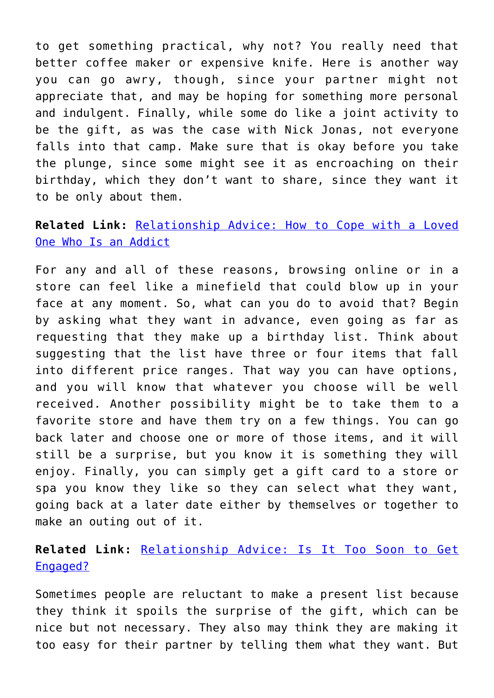to get something practical, why not? You really need that better coffee maker or expensive knife. Here is another way you can go awry, though, since your partner might not appreciate that, and may be hoping for something more personal and indulgent. Finally, while some do like a joint activity to be the gift, as was the case with Nick Jonas, not everyone falls into that camp. Make sure that is okay before you take the plunge, since some might see it as encroaching on their birthday, which they don't want to share, since they want it to be only about them.

**Related Link:** [Relationship Advice: How to Cope with a Loved](http://cupidspulse.com/126648/relationship-advice-cope-addicted-loved-one-dr-jane-greer/#more-126648) [One Who Is an Addict](http://cupidspulse.com/126648/relationship-advice-cope-addicted-loved-one-dr-jane-greer/#more-126648)

For any and all of these reasons, browsing online or in a store can feel like a minefield that could blow up in your face at any moment. So, what can you do to avoid that? Begin by asking what they want in advance, even going as far as requesting that they make up a birthday list. Think about suggesting that the list have three or four items that fall into different price ranges. That way you can have options, and you will know that whatever you choose will be well received. Another possibility might be to take them to a favorite store and have them try on a few things. You can go back later and choose one or more of those items, and it will still be a surprise, but you know it is something they will enjoy. Finally, you can simply get a gift card to a store or spa you know they like so they can select what they want, going back at a later date either by themselves or together to make an outing out of it.

**Related Link:** [Relationship Advice: Is It Too Soon to Get](http://cupidspulse.com/126033/relationship-advice-too-soon-get-engaged/#more-126033) [Engaged?](http://cupidspulse.com/126033/relationship-advice-too-soon-get-engaged/#more-126033)

Sometimes people are reluctant to make a present list because they think it spoils the surprise of the gift, which can be nice but not necessary. They also may think they are making it too easy for their partner by telling them what they want. But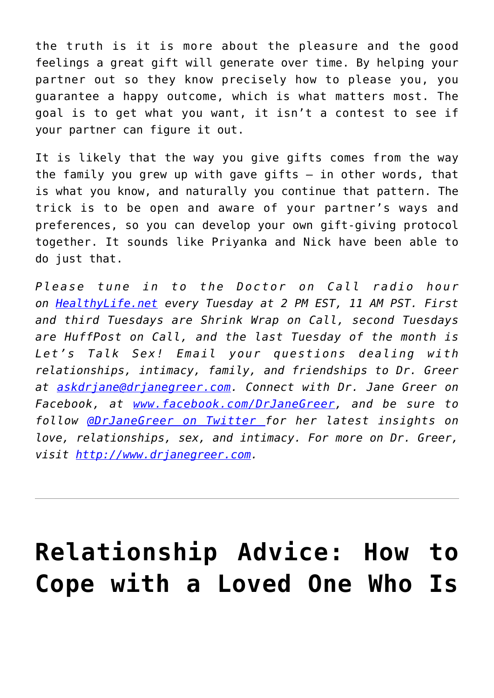the truth is it is more about the pleasure and the good feelings a great gift will generate over time. By helping your partner out so they know precisely how to please you, you guarantee a happy outcome, which is what matters most. The goal is to get what you want, it isn't a contest to see if your partner can figure it out.

It is likely that the way you give gifts comes from the way the family you grew up with gave gifts  $-$  in other words, that is what you know, and naturally you continue that pattern. The trick is to be open and aware of your partner's ways and preferences, so you can develop your own gift-giving protocol together. It sounds like Priyanka and Nick have been able to do just that.

*Please tune in to the Doctor on Call radio hour on [HealthyLife.net](http://www.healthylife.net/) every Tuesday at 2 PM EST, 11 AM PST. First and third Tuesdays are Shrink Wrap on Call, second Tuesdays are HuffPost on Call, and the last Tuesday of the month is Let's Talk Sex! Email your questions dealing with relationships, intimacy, family, and friendships to Dr. Greer at [askdrjane@drjanegreer.com](mailto:askdrjane@drjanegreer.com). Connect with Dr. Jane Greer on Facebook, at [www.facebook.com/DrJaneGreer,](http://www.facebook.com/DrJaneGreer) and be sure to follow [@DrJaneGreer on Twitter f](https://twitter.com/#!/DrJaneGreer)or her latest insights on love, relationships, sex, and intimacy. For more on Dr. Greer, visit [http://www.drjanegreer.com.](http://www.drjanegreer.com/)*

## **[Relationship Advice: How to](https://cupidspulse.com/126648/relationship-advice-cope-addicted-loved-one-dr-jane-greer/) [Cope with a Loved One Who Is](https://cupidspulse.com/126648/relationship-advice-cope-addicted-loved-one-dr-jane-greer/)**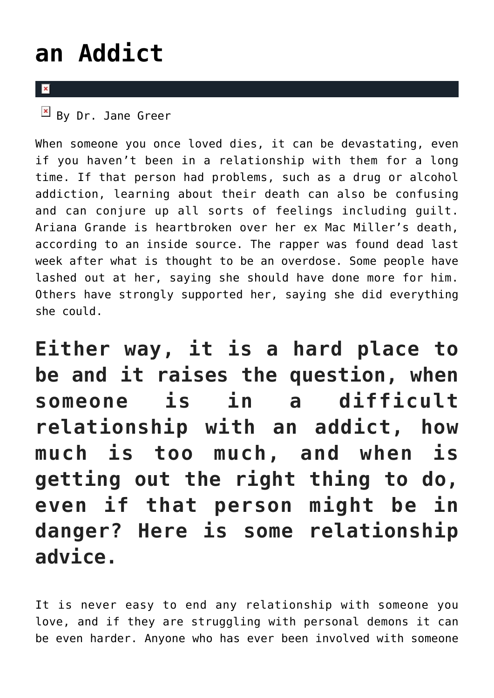## **[an Addict](https://cupidspulse.com/126648/relationship-advice-cope-addicted-loved-one-dr-jane-greer/)**

### $\overline{\mathbf{x}}$

 $\overline{B}$  By Dr. Jane Greer

When someone you once loved dies, it can be devastating, even if you haven't been in a relationship with them for a long time. If that person had problems, such as a drug or alcohol addiction, learning about their death can also be confusing and can conjure up all sorts of feelings including guilt. Ariana Grande is heartbroken over her ex Mac Miller's death, according to an inside source. The rapper was found dead last week after what is thought to be an overdose. Some people have lashed out at her, saying she should have done more for him. Others have strongly supported her, saying she did everything she could.

**Either way, it is a hard place to be and it raises the question, when someone is in a difficult relationship with an addict, how much is too much, and when is getting out the right thing to do, even if that person might be in danger? Here is some relationship advice.**

It is never easy to end any relationship with someone you love, and if they are struggling with personal demons it can be even harder. Anyone who has ever been involved with someone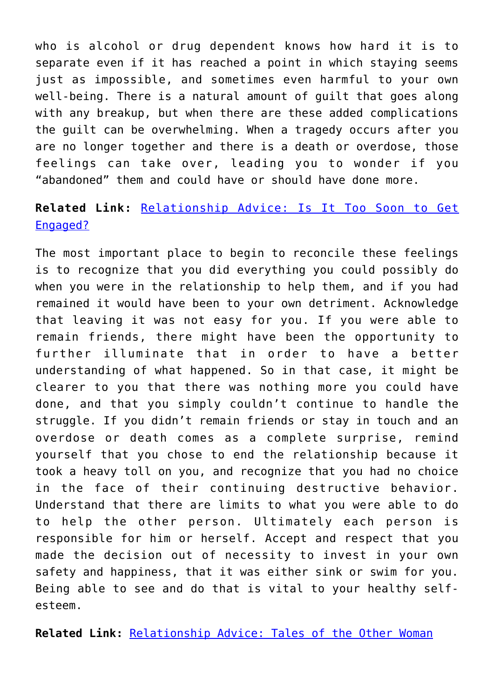who is alcohol or drug dependent knows how hard it is to separate even if it has reached a point in which staying seems just as impossible, and sometimes even harmful to your own well-being. There is a natural amount of guilt that goes along with any breakup, but when there are these added complications the guilt can be overwhelming. When a tragedy occurs after you are no longer together and there is a death or overdose, those feelings can take over, leading you to wonder if you "abandoned" them and could have or should have done more.

### **Related Link:** [Relationship Advice: Is It Too Soon to Get](http://cupidspulse.com/126033/relationship-advice-too-soon-get-engaged/) [Engaged?](http://cupidspulse.com/126033/relationship-advice-too-soon-get-engaged/)

The most important place to begin to reconcile these feelings is to recognize that you did everything you could possibly do when you were in the relationship to help them, and if you had remained it would have been to your own detriment. Acknowledge that leaving it was not easy for you. If you were able to remain friends, there might have been the opportunity to further illuminate that in order to have a better understanding of what happened. So in that case, it might be clearer to you that there was nothing more you could have done, and that you simply couldn't continue to handle the struggle. If you didn't remain friends or stay in touch and an overdose or death comes as a complete surprise, remind yourself that you chose to end the relationship because it took a heavy toll on you, and recognize that you had no choice in the face of their continuing destructive behavior. Understand that there are limits to what you were able to do to help the other person. Ultimately each person is responsible for him or herself. Accept and respect that you made the decision out of necessity to invest in your own safety and happiness, that it was either sink or swim for you. Being able to see and do that is vital to your healthy selfesteem.

**Related Link:** [Relationship Advice: Tales of the Other Woman](http://cupidspulse.com/124540/relationship-advice-tales-other-woman-dr-jane-greer/#more-124540)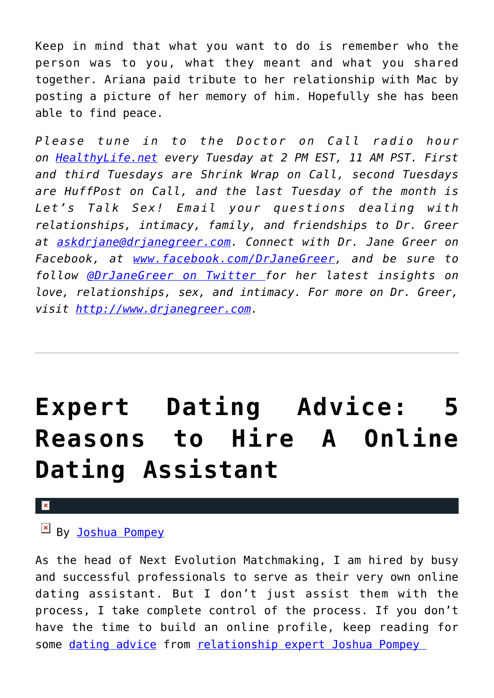Keep in mind that what you want to do is remember who the person was to you, what they meant and what you shared together. Ariana paid tribute to her relationship with Mac by posting a picture of her memory of him. Hopefully she has been able to find peace.

*Please tune in to the Doctor on Call radio hour on [HealthyLife.net](http://www.healthylife.net/) every Tuesday at 2 PM EST, 11 AM PST. First and third Tuesdays are Shrink Wrap on Call, second Tuesdays are HuffPost on Call, and the last Tuesday of the month is Let's Talk Sex! Email your questions dealing with relationships, intimacy, family, and friendships to Dr. Greer at [askdrjane@drjanegreer.com](mailto:askdrjane@drjanegreer.com). Connect with Dr. Jane Greer on Facebook, at [www.facebook.com/DrJaneGreer,](http://www.facebook.com/DrJaneGreer) and be sure to follow [@DrJaneGreer on Twitter f](https://twitter.com/#!/DrJaneGreer)or her latest insights on love, relationships, sex, and intimacy. For more on Dr. Greer, visit [http://www.drjanegreer.com.](http://www.drjanegreer.com/)*

## **[Expert Dating Advice: 5](https://cupidspulse.com/126632/expert-dating-advice-5-reasons-to-hire-a-online-dating-assistant/) [Reasons to Hire A Online](https://cupidspulse.com/126632/expert-dating-advice-5-reasons-to-hire-a-online-dating-assistant/) [Dating Assistant](https://cupidspulse.com/126632/expert-dating-advice-5-reasons-to-hire-a-online-dating-assistant/)**

#### $\pmb{\times}$

### By [Joshua Pompey](http://cupidspulse.com/relationship-experts/joshua-pompey-articles/)

As the head of Next Evolution Matchmaking, I am hired by busy and successful professionals to serve as their very own online dating assistant. But I don't just assist them with the process, I take complete control of the process. If you don't have the time to build an online profile, keep reading for some [dating advice](http://cupidspulse.com/love/relationship-advice-articles/) from relationship expert Joshua Pompey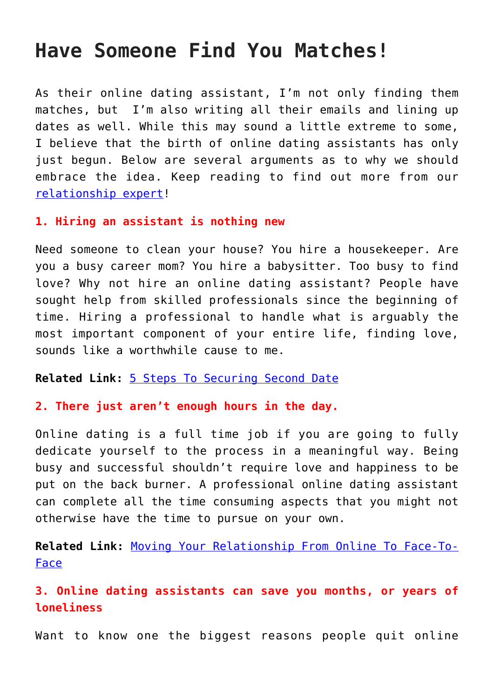### **Have Someone Find You Matches!**

As their online dating assistant, I'm not only finding them matches, but I'm also writing all their emails and lining up dates as well. While this may sound a little extreme to some, I believe that the birth of online dating assistants has only just begun. Below are several arguments as to why we should embrace the idea. Keep reading to find out more from our [relationship expert!](http://cupidspulse.com/relationship-experts/)

### **1. Hiring an assistant is nothing new**

Need someone to clean your house? You hire a housekeeper. Are you a busy career mom? You hire a babysitter. Too busy to find love? Why not hire an online dating assistant? People have sought help from skilled professionals since the beginning of time. Hiring a professional to handle what is arguably the most important component of your entire life, finding love, sounds like a worthwhile cause to me.

**Related Link:** [5 Steps To Securing Second Date](http://cupidspulse.com/108920/dating-advice-securing-second-date/)

### **2. There just aren't enough hours in the day.**

Online dating is a full time job if you are going to fully dedicate yourself to the process in a meaningful way. Being busy and successful shouldn't require love and happiness to be put on the back burner. A professional online dating assistant can complete all the time consuming aspects that you might not otherwise have the time to pursue on your own.

**Related Link:** [Moving Your Relationship From Online To Face-To-](http://cupidspulse.com/105412/dating-advice-joshua-pompey-online-relationships/)[Face](http://cupidspulse.com/105412/dating-advice-joshua-pompey-online-relationships/)

**3. Online dating assistants can save you months, or years of loneliness**

Want to know one the biggest reasons people quit online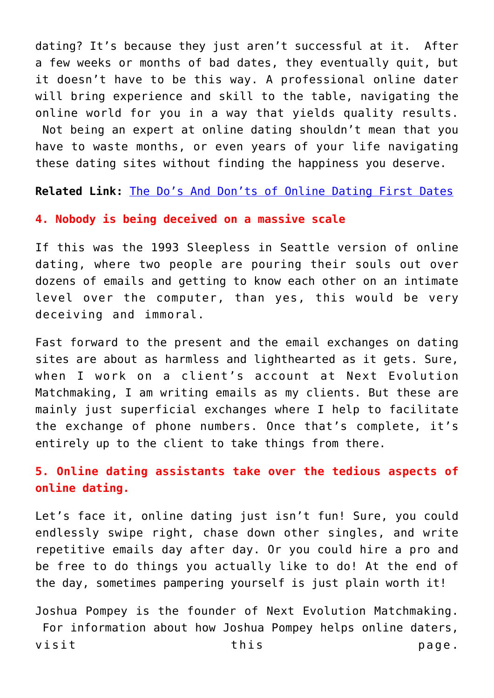dating? It's because they just aren't successful at it. After a few weeks or months of bad dates, they eventually quit, but it doesn't have to be this way. A professional online dater will bring experience and skill to the table, navigating the online world for you in a way that yields quality results. Not being an expert at online dating shouldn't mean that you have to waste months, or even years of your life navigating these dating sites without finding the happiness you deserve.

**Related Link:** [The Do's And Don'ts of Online Dating First Dates](http://cupidspulse.com/120483/dating-advice-dos-and-donts-online/)

#### **4. Nobody is being deceived on a massive scale**

If this was the 1993 Sleepless in Seattle version of online dating, where two people are pouring their souls out over dozens of emails and getting to know each other on an intimate level over the computer, than yes, this would be very deceiving and immoral.

Fast forward to the present and the email exchanges on dating sites are about as harmless and lighthearted as it gets. Sure, when I work on a client's account at Next Evolution Matchmaking, I am writing emails as my clients. But these are mainly just superficial exchanges where I help to facilitate the exchange of phone numbers. Once that's complete, it's entirely up to the client to take things from there.

**5. Online dating assistants take over the tedious aspects of online dating.**

Let's face it, online dating just isn't fun! Sure, you could endlessly swipe right, chase down other singles, and write repetitive emails day after day. Or you could hire a pro and be free to do things you actually like to do! At the end of the day, sometimes pampering yourself is just plain worth it!

Joshua Pompey is the founder of Next Evolution Matchmaking. For information about how Joshua Pompey helps online daters, visit this page.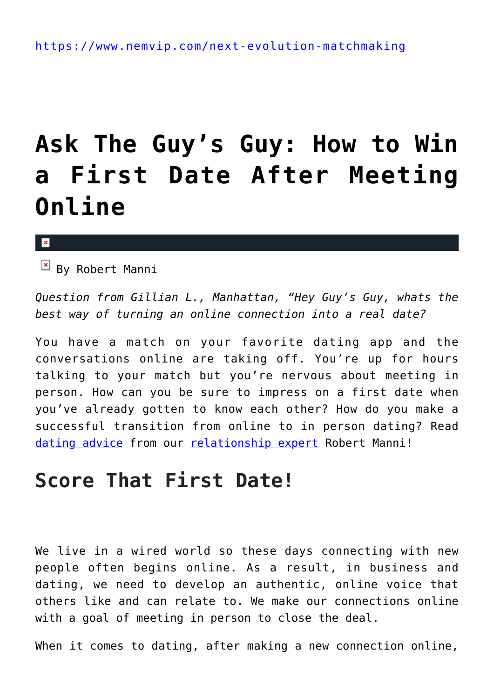## **[Ask The Guy's Guy: How to Win](https://cupidspulse.com/126629/ask-guy-win-first-date-after-meeting-online/) [a First Date After Meeting](https://cupidspulse.com/126629/ask-guy-win-first-date-after-meeting-online/) [Online](https://cupidspulse.com/126629/ask-guy-win-first-date-after-meeting-online/)**

#### $\mathbf{R}$

 $\boxed{\mathbf{x}}$  By Robert Manni

*Question from Gillian L., Manhattan, "Hey Guy's Guy, whats the best way of turning an online connection into a real date?*

You have a match on your favorite dating app and the conversations online are taking off. You're up for hours talking to your match but you're nervous about meeting in person. How can you be sure to impress on a first date when you've already gotten to know each other? How do you make a successful transition from online to in person dating? Read [dating advice](http://cupidspulse.com/videos/dating-advice-videos/) from our [relationship expert](http://cupidspulse.com/relationship-experts/) Robert Manni!

### **Score That First Date!**

We live in a wired world so these days connecting with new people often begins online. As a result, in business and dating, we need to develop an authentic, online voice that others like and can relate to. We make our connections online with a goal of meeting in person to close the deal.

When it comes to dating, after making a new connection online,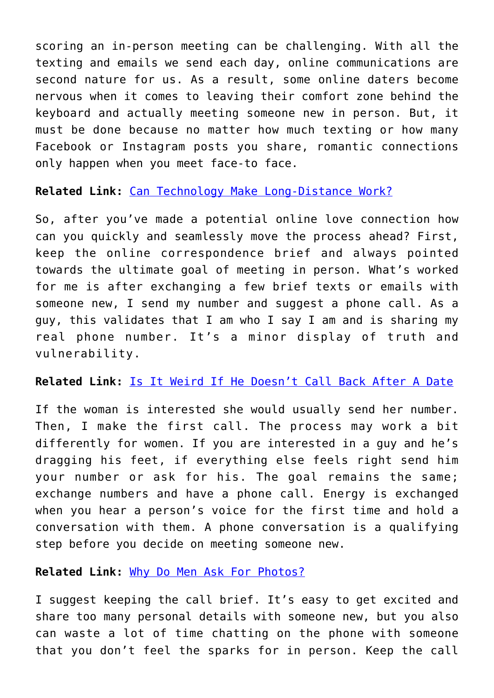scoring an in-person meeting can be challenging. With all the texting and emails we send each day, online communications are second nature for us. As a result, some online daters become nervous when it comes to leaving their comfort zone behind the keyboard and actually meeting someone new in person. But, it must be done because no matter how much texting or how many Facebook or Instagram posts you share, romantic connections only happen when you meet face-to face.

**Related Link:** [Can Technology Make Long-Distance Work?](http://cupidspulse.com/123897/dating-advice-can-techonology-make-a-long-distance-relationship-work/)

So, after you've made a potential online love connection how can you quickly and seamlessly move the process ahead? First, keep the online correspondence brief and always pointed towards the ultimate goal of meeting in person. What's worked for me is after exchanging a few brief texts or emails with someone new, I send my number and suggest a phone call. As a guy, this validates that I am who I say I am and is sharing my real phone number. It's a minor display of truth and vulnerability.

### **Related Link:** [Is It Weird If He Doesn't Call Back After A Date](http://cupidspulse.com/108622/dating-advice-qa-is-it-weird-if-he-doesnt-call-back-after-a-date/)

If the woman is interested she would usually send her number. Then, I make the first call. The process may work a bit differently for women. If you are interested in a guy and he's dragging his feet, if everything else feels right send him your number or ask for his. The goal remains the same; exchange numbers and have a phone call. Energy is exchanged when you hear a person's voice for the first time and hold a conversation with them. A phone conversation is a qualifying step before you decide on meeting someone new.

**Related Link:** [Why Do Men Ask For Photos?](http://cupidspulse.com/115299/dating-advice-qa-why-do-men-ask-for-photos/)

I suggest keeping the call brief. It's easy to get excited and share too many personal details with someone new, but you also can waste a lot of time chatting on the phone with someone that you don't feel the sparks for in person. Keep the call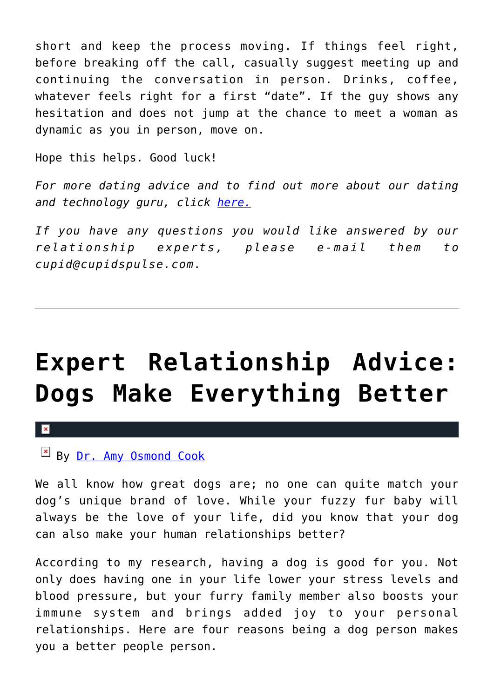short and keep the process moving. If things feel right, before breaking off the call, casually suggest meeting up and continuing the conversation in person. Drinks, coffee, whatever feels right for a first "date". If the guy shows any hesitation and does not jump at the chance to meet a woman as dynamic as you in person, move on.

Hope this helps. Good luck!

*For more dating advice and to find out more about our dating and technology guru, click [here.](http://cupidspulse.com/relationship-experts/robert-manni/)*

*If you have any questions you would like answered by our relationship experts, please e-mail them to cupid@cupidspulse.com.*

## **[Expert Relationship Advice:](https://cupidspulse.com/126504/expert-relationship-advice-dogs/) [Dogs Make Everything Better](https://cupidspulse.com/126504/expert-relationship-advice-dogs/)**

 $\pmb{\times}$ 

By [Dr. Amy Osmond Cook](http://cupidspulse.com/relationship-experts/dr-amy-osmond-cook/)

We all know how great dogs are; no one can quite match your dog's unique brand of love. While your fuzzy fur baby will always be the love of your life, did you know that your dog can also make your human relationships better?

According to my research, having a dog is good for you. Not only does having one in your life lower your stress levels and blood pressure, but your furry family member also boosts your immune system and brings added joy to your personal relationships. Here are four reasons being a dog person makes you a better people person.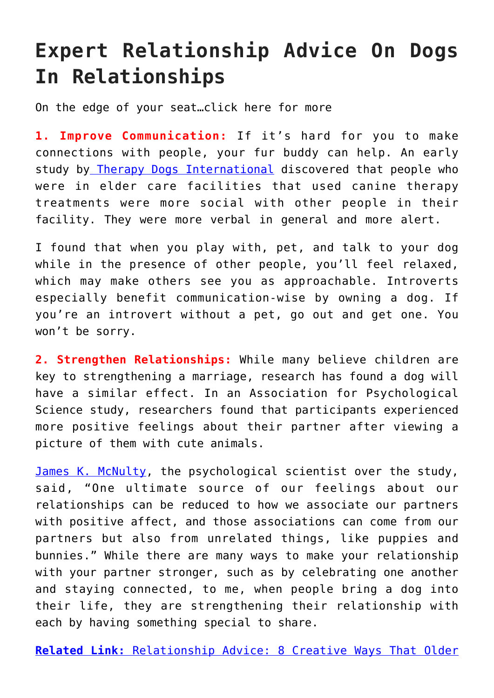### **Expert Relationship Advice On Dogs In Relationships**

On the edge of your seat…click here for more

**1. Improve Communication:** If it's hard for you to make connections with people, your fur buddy can help. An early stud[y](http://www.tdi-dog.org/images/TDIStudy.pdf) by [Therapy Dogs International](http://www.tdi-dog.org/images/TDIStudy.pdf) discovered that people who were in elder care facilities that used canine therapy treatments were more social with other people in their facility. They were more verbal in general and more alert.

I found that when you play with, pet, and talk to your dog while in the presence of other people, you'll feel relaxed, which may make others see you as approachable. Introverts especially benefit communication-wise by owning a dog. If you're an introvert without a pet, go out and get one. You won't be sorry.

**2. Strengthen Relationships:** While many believe children are key to strengthening a marriage, research has found a dog will have a similar effect. In an Association for Psychological Science study, researchers found that participants experienced more positive feelings about their partner after viewing a picture of them with cute animals.

[James K. McNulty](https://www.psychologicalscience.org/news/releases/how-viewing-cute-animals-can-help-rekindle-marital-spark.html#.WVEkVYqQzX-), the psychological scientist over the study, said, "One ultimate source of our feelings about our relationships can be reduced to how we associate our partners with positive affect, and those associations can come from our partners but also from unrelated things, like puppies and bunnies." While there are many ways to make your relationship with your partner stronger, such as by celebrating one another and staying connected, to me, when people bring a dog into their life, they are strengthening their relationship with each by having something special to share.

**[Related Link:](http://cupidspulse.com/105307/relationship-advice-amy-osmond-cook-older-couples-can-keep-the-romance-alive/)** [Relationship Advice: 8 Creative Ways That Older](http://cupidspulse.com/105307/relationship-advice-amy-osmond-cook-older-couples-can-keep-the-romance-alive/)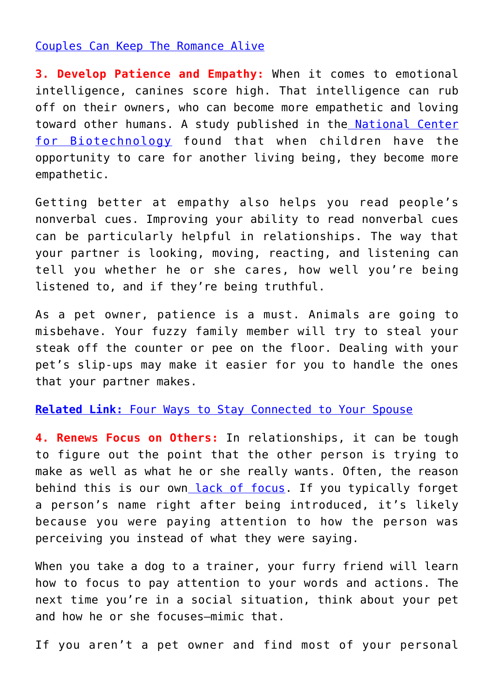#### [Couples Can Keep The Romance Alive](http://cupidspulse.com/105307/relationship-advice-amy-osmond-cook-older-couples-can-keep-the-romance-alive/)

**3. Develop Patience and Empathy:** When it comes to emotional intelligence, canines score high. That intelligence can rub off on their owners, who can become more empathetic and loving toward other humans. A study published in th[e National Center](https://www.ncbi.nlm.nih.gov/pmc/articles/PMC5451941/) [for Biotechnology](https://www.ncbi.nlm.nih.gov/pmc/articles/PMC5451941/) found that when children have the opportunity to care for another living being, they become more empathetic.

Getting better at empathy also helps you read people's nonverbal cues. Improving your ability to read nonverbal cues can be particularly helpful in relationships. The way that your partner is looking, moving, reacting, and listening can tell you whether he or she cares, how well you're being listened to, and if they're being truthful.

As a pet owner, patience is a must. Animals are going to misbehave. Your fuzzy family member will try to steal your steak off the counter or pee on the floor. Dealing with your pet's slip-ups may make it easier for you to handle the ones that your partner makes.

#### **[Related Link:](http://cupidspulse.com/79708/stay-connected-to-your-spouse/)** [Four Ways to Stay Connected to Your Spouse](http://cupidspulse.com/79708/stay-connected-to-your-spouse/)

**4. Renews Focus on Others:** In relationships, it can be tough to figure out the point that the other person is trying to make as well as what he or she really wants. Often, the reason behind this is our own [lack of focus.](https://www.the1thing.com/blog/the-one-thing/how-mans-best-friend-can-help-you-build-better-relationships/) If you typically forget a person's name right after being introduced, it's likely because you were paying attention to how the person was perceiving you instead of what they were saying.

When you take a dog to a trainer, your furry friend will learn how to focus to pay attention to your words and actions. The next time you're in a social situation, think about your pet and how he or she focuses—mimic that.

If you aren't a pet owner and find most of your personal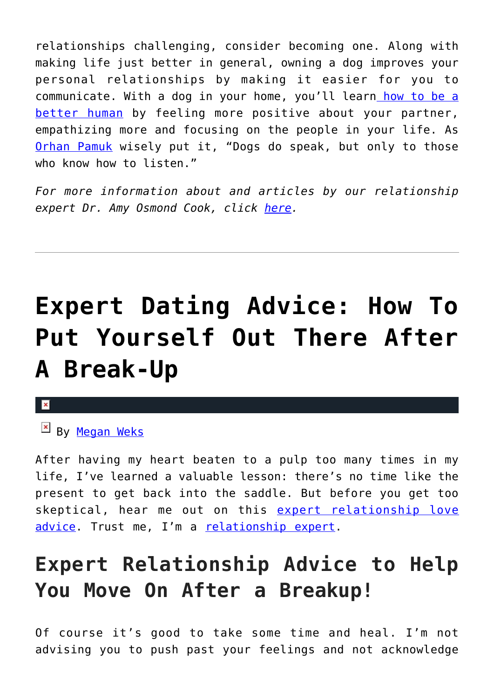relationships challenging, consider becoming one. Along with making life just better in general, owning a dog improves your personal relationships by making it easier for you to communicate. With a dog in your home, you'll learn [how to be a](https://www.psychologytoday.com/us/blog/the-soul-all-living-creatures/201501/10-things-animals-can-teach-us-about-being-human) [better human](https://www.psychologytoday.com/us/blog/the-soul-all-living-creatures/201501/10-things-animals-can-teach-us-about-being-human) by feeling more positive about your partner, empathizing more and focusing on the people in your life. As [Orhan Pamuk](https://books.google.com/books?id=ueXdUj88jtYC&dq=my+name+is+red) wisely put it, "Dogs do speak, but only to those who know how to listen."

*For more information about and articles by our relationship expert Dr. Amy Osmond Cook, click [here](http://cupidspulse.com/relationship-dating-experts/hope-after-divorce-relationship-experts/).*

## **[Expert Dating Advice: How To](https://cupidspulse.com/126358/expert-dating-advice-how-put-yourself-out-there-after-break-up/) [Put Yourself Out There After](https://cupidspulse.com/126358/expert-dating-advice-how-put-yourself-out-there-after-break-up/) [A Break-Up](https://cupidspulse.com/126358/expert-dating-advice-how-put-yourself-out-there-after-break-up/)**



By [Megan Weks](http://cupidspulse.com/relationship-experts/megan-weks/)

After having my heart beaten to a pulp too many times in my life, I've learned a valuable lesson: there's no time like the present to get back into the saddle. But before you get too skeptical, hear me out on this [expert relationship love](http://cupidspulse.com/relationship-experts/) [advice](http://cupidspulse.com/relationship-experts/). Trust me, I'm a [relationship expert.](http://cupidspulse.com/relationship-experts/)

### **Expert Relationship Advice to Help You Move On After a Breakup!**

Of course it's good to take some time and heal. I'm not advising you to push past your feelings and not acknowledge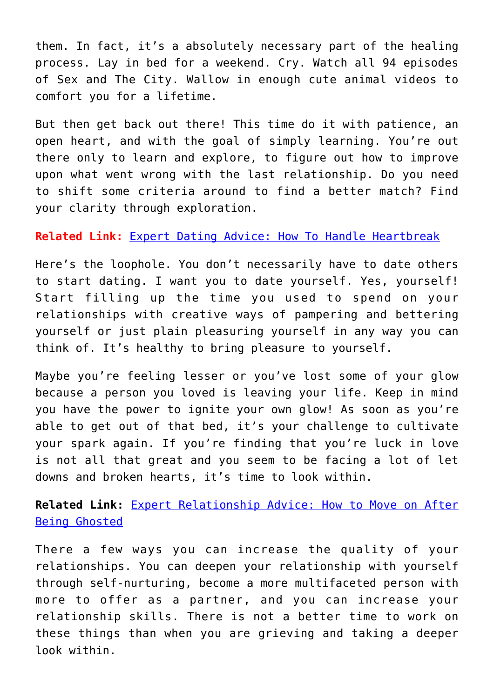them. In fact, it's a absolutely necessary part of the healing process. Lay in bed for a weekend. Cry. Watch all 94 episodes of Sex and The City. Wallow in enough cute animal videos to comfort you for a lifetime.

But then get back out there! This time do it with patience, an open heart, and with the goal of simply learning. You're out there only to learn and explore, to figure out how to improve upon what went wrong with the last relationship. Do you need to shift some criteria around to find a better match? Find your clarity through exploration.

### **Related Link:** [Expert Dating Advice: How To Handle Heartbreak](http://cupidspulse.com/123523/expert-dating-advice-heartbreak-the-bachelor/)

Here's the loophole. You don't necessarily have to date others to start dating. I want you to date yourself. Yes, yourself! Start filling up the time you used to spend on your relationships with creative ways of pampering and bettering yourself or just plain pleasuring yourself in any way you can think of. It's healthy to bring pleasure to yourself.

Maybe you're feeling lesser or you've lost some of your glow because a person you loved is leaving your life. Keep in mind you have the power to ignite your own glow! As soon as you're able to get out of that bed, it's your challenge to cultivate your spark again. If you're finding that you're luck in love is not all that great and you seem to be facing a lot of let downs and broken hearts, it's time to look within.

**Related Link:** [Expert Relationship Advice: How to Move on After](http://cupidspulse.com/124119/expert-relationship-advice-move-on-after-being-ghosted/) [Being Ghosted](http://cupidspulse.com/124119/expert-relationship-advice-move-on-after-being-ghosted/)

There a few ways you can increase the quality of your relationships. You can deepen your relationship with yourself through self-nurturing, become a more multifaceted person with more to offer as a partner, and you can increase your relationship skills. There is not a better time to work on these things than when you are grieving and taking a deeper look within.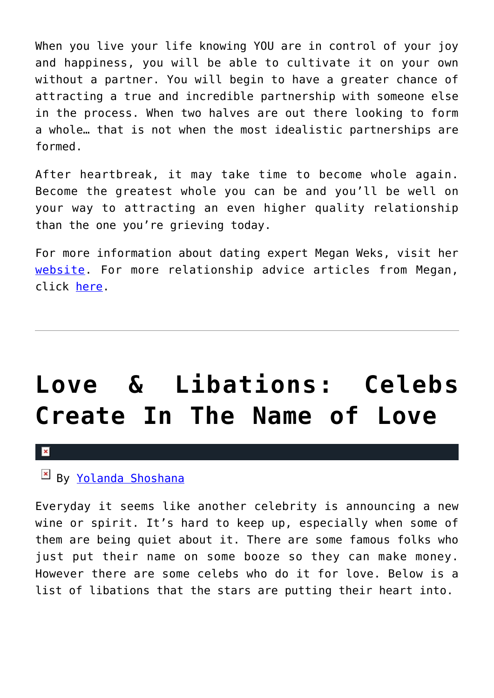When you live your life knowing YOU are in control of your joy and happiness, you will be able to cultivate it on your own without a partner. You will begin to have a greater chance of attracting a true and incredible partnership with someone else in the process. When two halves are out there looking to form a whole… that is not when the most idealistic partnerships are formed.

After heartbreak, it may take time to become whole again. Become the greatest whole you can be and you'll be well on your way to attracting an even higher quality relationship than the one you're grieving today.

For more information about dating expert Megan Weks, visit her [website.](http://www.meganweks.com/) For more relationship advice articles from Megan, click [here.](http://cupidspulse.com/relationship-experts/megan-weks/)

## **[Love & Libations: Celebs](https://cupidspulse.com/126313/love-libations-lets-create-love/) [Create In The Name of Love](https://cupidspulse.com/126313/love-libations-lets-create-love/)**

 $\mathbf{x}$ 

### By [Yolanda Shoshana](http://cupidspulse.com/relationship-experts/yolanda-shoshana/)

Everyday it seems like another celebrity is announcing a new wine or spirit. It's hard to keep up, especially when some of them are being quiet about it. There are some famous folks who just put their name on some booze so they can make money. However there are some celebs who do it for love. Below is a list of libations that the stars are putting their heart into.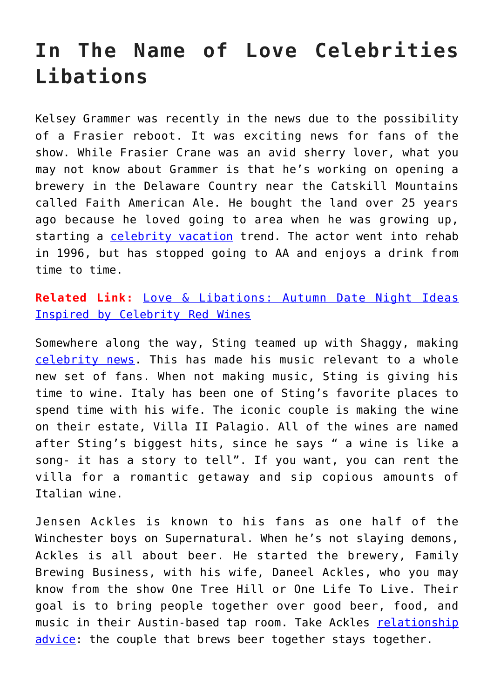### **In The Name of Love Celebrities Libations**

Kelsey Grammer was recently in the news due to the possibility of a Frasier reboot. It was exciting news for fans of the show. While Frasier Crane was an avid sherry lover, what you may not know about Grammer is that he's working on opening a brewery in the Delaware Country near the Catskill Mountains called Faith American Ale. He bought the land over 25 years ago because he loved going to area when he was growing up, starting a [celebrity vacation](http://cupidspulse.com/celebrity-news/celebrity-vacations/) trend. The actor went into rehab in 1996, but has stopped going to AA and enjoys a drink from time to time.

**Related Link:** [Love & Libations: Autumn Date Night Ideas](http://cupidspulse.com/121075/autumn-date-night-ideas-celebrity-red-wines/) [Inspired by Celebrity Red Wines](http://cupidspulse.com/121075/autumn-date-night-ideas-celebrity-red-wines/)

Somewhere along the way, Sting teamed up with Shaggy, making [celebrity news.](http://cupidspulse.com/celebrity-news/) This has made his music relevant to a whole new set of fans. When not making music, Sting is giving his time to wine. Italy has been one of Sting's favorite places to spend time with his wife. The iconic couple is making the wine on their estate, Villa II Palagio. All of the wines are named after Sting's biggest hits, since he says " a wine is like a song- it has a story to tell". If you want, you can rent the villa for a romantic getaway and sip copious amounts of Italian wine.

Jensen Ackles is known to his fans as one half of the Winchester boys on Supernatural. When he's not slaying demons, Ackles is all about beer. He started the brewery, Family Brewing Business, with his wife, Daneel Ackles, who you may know from the show One Tree Hill or One Life To Live. Their goal is to bring people together over good beer, food, and music in their Austin-based tap room. Take Ackles [relationship](http://cupidspulse.com/relationship-experts/) [advice](http://cupidspulse.com/relationship-experts/): the couple that brews beer together stays together.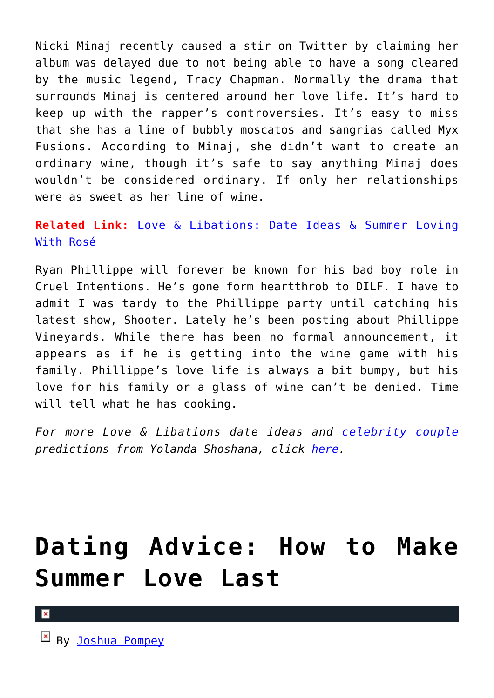Nicki Minaj recently caused a stir on Twitter by claiming her album was delayed due to not being able to have a song cleared by the music legend, Tracy Chapman. Normally the drama that surrounds Minaj is centered around her love life. It's hard to keep up with the rapper's controversies. It's easy to miss that she has a line of bubbly moscatos and sangrias called Myx Fusions. According to Minaj, she didn't want to create an ordinary wine, though it's safe to say anything Minaj does wouldn't be considered ordinary. If only her relationships were as sweet as her line of wine.

### **[Related Link:](http://cupidspulse.com/123747/date-ideas-summer-loving-with-rose/)** [Love & Libations: Date Ideas & Summer Loving](http://cupidspulse.com/123747/date-ideas-summer-loving-with-rose/) [With Rosé](http://cupidspulse.com/123747/date-ideas-summer-loving-with-rose/)

Ryan Phillippe will forever be known for his bad boy role in Cruel Intentions. He's gone form heartthrob to DILF. I have to admit I was tardy to the Phillippe party until catching his latest show, Shooter. Lately he's been posting about Phillippe Vineyards. While there has been no formal announcement, it appears as if he is getting into the wine game with his family. Phillippe's love life is always a bit bumpy, but his love for his family or a glass of wine can't be denied. Time will tell what he has cooking.

*For more Love & Libations date ideas and [celebrity couple](http://cupidspulse.com/celebrity-news/celebrity-dating/) predictions from Yolanda Shoshana, click [here](http://cupidspulse.com/relationship-experts/yolanda-shoshana/).*

## **[Dating Advice: How to Make](https://cupidspulse.com/126149/dating-advice-how-make-summer-love-last/) [Summer Love Last](https://cupidspulse.com/126149/dating-advice-how-make-summer-love-last/)**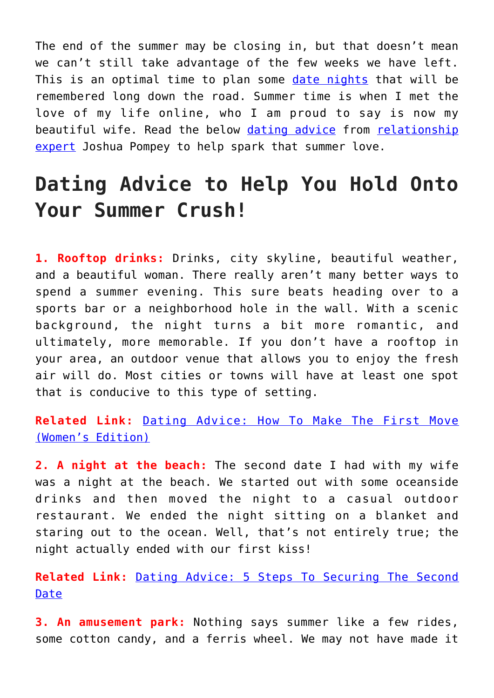The end of the summer may be closing in, but that doesn't mean we can't still take advantage of the few weeks we have left. This is an optimal time to plan some [date nights](http://cupidspulse.com/dating/date-ideas/) that will be remembered long down the road. Summer time is when I met the love of my life online, who I am proud to say is now my beautiful wife. Read the below [dating advice](http://cupidspulse.com/relationship-experts/) from [relationship](http://cupidspulse.com/relationship-experts/) [expert](http://cupidspulse.com/relationship-experts/) Joshua Pompey to help spark that summer love.

### **Dating Advice to Help You Hold Onto Your Summer Crush!**

**1. Rooftop drinks:** Drinks, city skyline, beautiful weather, and a beautiful woman. There really aren't many better ways to spend a summer evening. This sure beats heading over to a sports bar or a neighborhood hole in the wall. With a scenic background, the night turns a bit more romantic, and ultimately, more memorable. If you don't have a rooftop in your area, an outdoor venue that allows you to enjoy the fresh air will do. Most cities or towns will have at least one spot that is conducive to this type of setting.

**Related Link:** [Dating Advice: How To Make The First Move](http://cupidspulse.com/119903/dating-advice-make-first-move-womens-edition/) [\(Women's Edition\)](http://cupidspulse.com/119903/dating-advice-make-first-move-womens-edition/)

**2. A night at the beach:** The second date I had with my wife was a night at the beach. We started out with some oceanside drinks and then moved the night to a casual outdoor restaurant. We ended the night sitting on a blanket and staring out to the ocean. Well, that's not entirely true; the night actually ended with our first kiss!

**Related Link:** [Dating Advice: 5 Steps To Securing The Second](http://cupidspulse.com/108920/dating-advice-securing-second-date/) [Date](http://cupidspulse.com/108920/dating-advice-securing-second-date/)

**3. An amusement park:** Nothing says summer like a few rides, some cotton candy, and a ferris wheel. We may not have made it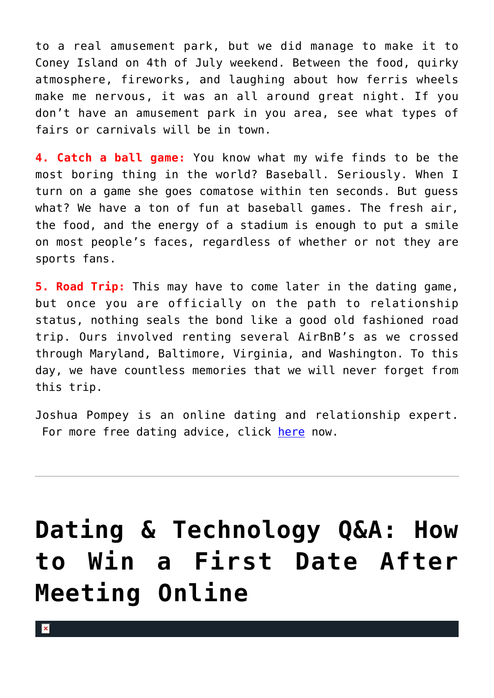to a real amusement park, but we did manage to make it to Coney Island on 4th of July weekend. Between the food, quirky atmosphere, fireworks, and laughing about how ferris wheels make me nervous, it was an all around great night. If you don't have an amusement park in you area, see what types of fairs or carnivals will be in town.

**4. Catch a ball game:** You know what my wife finds to be the most boring thing in the world? Baseball. Seriously. When I turn on a game she goes comatose within ten seconds. But guess what? We have a ton of fun at baseball games. The fresh air, the food, and the energy of a stadium is enough to put a smile on most people's faces, regardless of whether or not they are sports fans.

**5. Road Trip:** This may have to come later in the dating game, but once you are officially on the path to relationship status, nothing seals the bond like a good old fashioned road trip. Ours involved renting several AirBnB's as we crossed through Maryland, Baltimore, Virginia, and Washington. To this day, we have countless memories that we will never forget from this trip.

Joshua Pompey is an online dating and relationship expert. For more free dating advice, click [here](https://joshuapompey.com/men/online-dating-profile-writers-for-hire/) now.

## **[Dating & Technology Q&A: How](https://cupidspulse.com/126058/dating-technology-qa-win-first-date-meeting-online/) [to Win a First Date After](https://cupidspulse.com/126058/dating-technology-qa-win-first-date-meeting-online/) [Meeting Online](https://cupidspulse.com/126058/dating-technology-qa-win-first-date-meeting-online/)**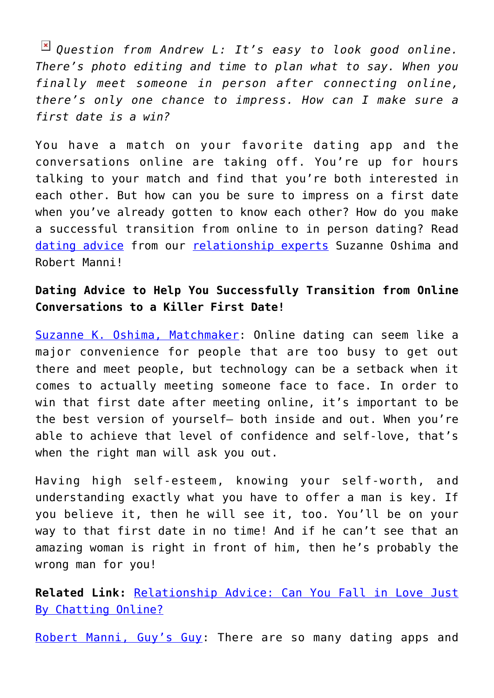*Question from Andrew L: It's easy to look good online. There's photo editing and time to plan what to say. When you finally meet someone in person after connecting online, there's only one chance to impress. How can I make sure a first date is a win?*

You have a match on your favorite dating app and the conversations online are taking off. You're up for hours talking to your match and find that you're both interested in each other. But how can you be sure to impress on a first date when you've already gotten to know each other? How do you make a successful transition from online to in person dating? Read [dating advice](http://cupidspulse.com/videos/dating-advice-videos/) from our [relationship experts](http://cupidspulse.com/relationship-experts/) Suzanne Oshima and Robert Manni!

### **Dating Advice to Help You Successfully Transition from Online Conversations to a Killer First Date!**

[Suzanne K. Oshima, Matchmaker](http://www.dreambachelor.com/): Online dating can seem like a major convenience for people that are too busy to get out there and meet people, but technology can be a setback when it comes to actually meeting someone face to face. In order to win that first date after meeting online, it's important to be the best version of yourself— both inside and out. When you're able to achieve that level of confidence and self-love, that's when the right man will ask you out.

Having high self-esteem, knowing your self-worth, and understanding exactly what you have to offer a man is key. If you believe it, then he will see it, too. You'll be on your way to that first date in no time! And if he can't see that an amazing woman is right in front of him, then he's probably the wrong man for you!

**Related Link:** [Relationship Advice: Can You Fall in Love Just](http://cupidspulse.com/122625/relationship-advice-fall-love-chatting-online/) [By Chatting Online?](http://cupidspulse.com/122625/relationship-advice-fall-love-chatting-online/)

[Robert Manni, Guy's Guy](http://www.robertmanni.com/): There are so many dating apps and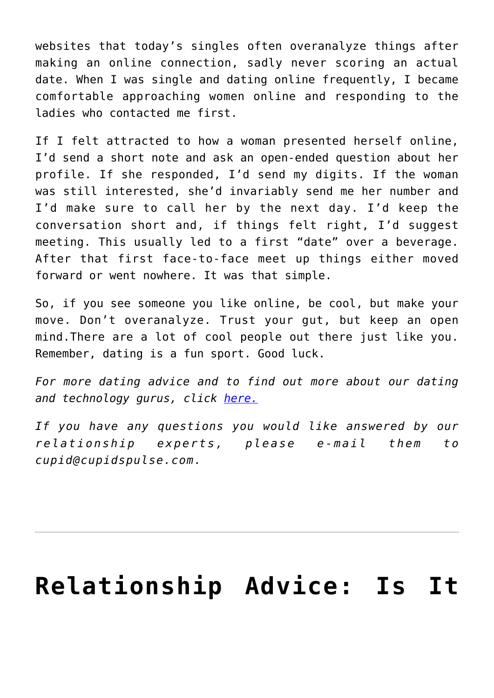websites that today's singles often overanalyze things after making an online connection, sadly never scoring an actual date. When I was single and dating online frequently, I became comfortable approaching women online and responding to the ladies who contacted me first.

If I felt attracted to how a woman presented herself online, I'd send a short note and ask an open-ended question about her profile. If she responded, I'd send my digits. If the woman was still interested, she'd invariably send me her number and I'd make sure to call her by the next day. I'd keep the conversation short and, if things felt right, I'd suggest meeting. This usually led to a first "date" over a beverage. After that first face-to-face meet up things either moved forward or went nowhere. It was that simple.

So, if you see someone you like online, be cool, but make your move. Don't overanalyze. Trust your gut, but keep an open mind.There are a lot of cool people out there just like you. Remember, dating is a fun sport. Good luck.

*For more dating advice and to find out more about our dating and technology gurus, click [here.](http://cupidspulse.com/relationship-dating-experts/oshima-wyatt-manni-technology-experts/)*

*If you have any questions you would like answered by our relationship experts, please e-mail them to cupid@cupidspulse.com.*

## **[Relationship Advice: Is It](https://cupidspulse.com/126033/relationship-advice-too-soon-get-engaged/)**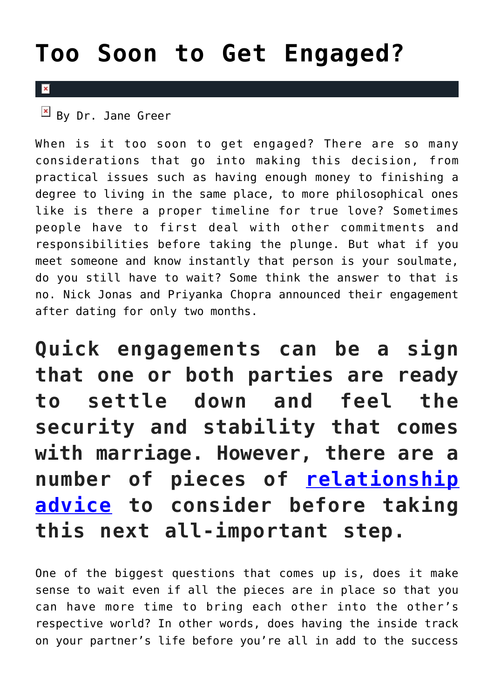## **[Too Soon to Get Engaged?](https://cupidspulse.com/126033/relationship-advice-too-soon-get-engaged/)**

### $\mathbf{x}$

 $\overline{B}$  By Dr. Jane Greer

When is it too soon to get engaged? There are so many considerations that go into making this decision, from practical issues such as having enough money to finishing a degree to living in the same place, to more philosophical ones like is there a proper timeline for true love? Sometimes people have to first deal with other commitments and responsibilities before taking the plunge. But what if you meet someone and know instantly that person is your soulmate, do you still have to wait? Some think the answer to that is no. Nick Jonas and Priyanka Chopra announced their engagement after dating for only two months.

**Quick engagements can be a sign that one or both parties are ready to settle down and feel the security and stability that comes with marriage. However, there are a number of pieces of [relationship](http://cupidspulse.com/relationship-experts/) [advice](http://cupidspulse.com/relationship-experts/) to consider before taking this next all-important step.**

One of the biggest questions that comes up is, does it make sense to wait even if all the pieces are in place so that you can have more time to bring each other into the other's respective world? In other words, does having the inside track on your partner's life before you're all in add to the success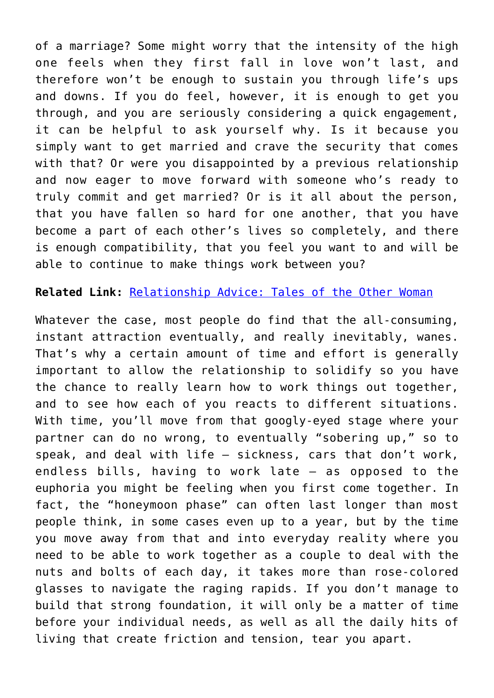of a marriage? Some might worry that the intensity of the high one feels when they first fall in love won't last, and therefore won't be enough to sustain you through life's ups and downs. If you do feel, however, it is enough to get you through, and you are seriously considering a quick engagement, it can be helpful to ask yourself why. Is it because you simply want to get married and crave the security that comes with that? Or were you disappointed by a previous relationship and now eager to move forward with someone who's ready to truly commit and get married? Or is it all about the person, that you have fallen so hard for one another, that you have become a part of each other's lives so completely, and there is enough compatibility, that you feel you want to and will be able to continue to make things work between you?

**Related Link:** [Relationship Advice: Tales of the Other Woman](http://cupidspulse.com/124540/relationship-advice-tales-other-woman-dr-jane-greer/)

Whatever the case, most people do find that the all-consuming, instant attraction eventually, and really inevitably, wanes. That's why a certain amount of time and effort is generally important to allow the relationship to solidify so you have the chance to really learn how to work things out together, and to see how each of you reacts to different situations. With time, you'll move from that googly-eyed stage where your partner can do no wrong, to eventually "sobering up," so to speak, and deal with life – sickness, cars that don't work, endless bills, having to work late – as opposed to the euphoria you might be feeling when you first come together. In fact, the "honeymoon phase" can often last longer than most people think, in some cases even up to a year, but by the time you move away from that and into everyday reality where you need to be able to work together as a couple to deal with the nuts and bolts of each day, it takes more than rose-colored glasses to navigate the raging rapids. If you don't manage to build that strong foundation, it will only be a matter of time before your individual needs, as well as all the daily hits of living that create friction and tension, tear you apart.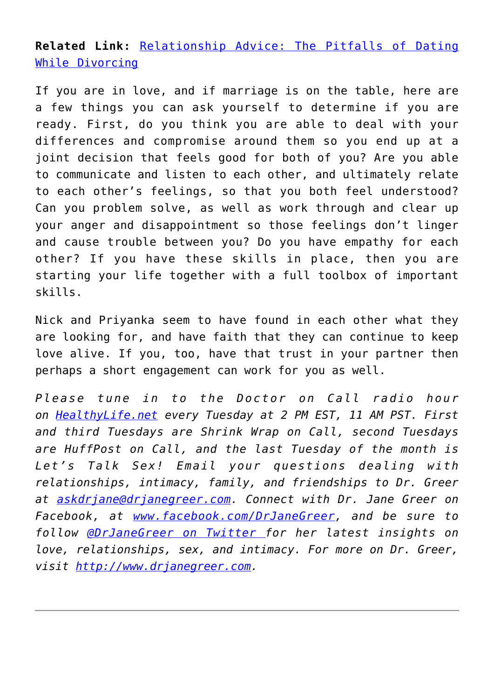**Related Link:** [Relationship Advice: The Pitfalls of Dating](http://cupidspulse.com/124396/relationship-advice-pitfalls-dating-while-divorcing-dr-jane-greer/) [While Divorcing](http://cupidspulse.com/124396/relationship-advice-pitfalls-dating-while-divorcing-dr-jane-greer/)

If you are in love, and if marriage is on the table, here are a few things you can ask yourself to determine if you are ready. First, do you think you are able to deal with your differences and compromise around them so you end up at a joint decision that feels good for both of you? Are you able to communicate and listen to each other, and ultimately relate to each other's feelings, so that you both feel understood? Can you problem solve, as well as work through and clear up your anger and disappointment so those feelings don't linger and cause trouble between you? Do you have empathy for each other? If you have these skills in place, then you are starting your life together with a full toolbox of important skills.

Nick and Priyanka seem to have found in each other what they are looking for, and have faith that they can continue to keep love alive. If you, too, have that trust in your partner then perhaps a short engagement can work for you as well.

*Please tune in to the Doctor on Call radio hour on [HealthyLife.net](http://www.healthylife.net/) every Tuesday at 2 PM EST, 11 AM PST. First and third Tuesdays are Shrink Wrap on Call, second Tuesdays are HuffPost on Call, and the last Tuesday of the month is Let's Talk Sex! Email your questions dealing with relationships, intimacy, family, and friendships to Dr. Greer at [askdrjane@drjanegreer.com](mailto:askdrjane@drjanegreer.com). Connect with Dr. Jane Greer on Facebook, at [www.facebook.com/DrJaneGreer,](http://www.facebook.com/DrJaneGreer) and be sure to follow [@DrJaneGreer on Twitter f](https://twitter.com/#!/DrJaneGreer)or her latest insights on love, relationships, sex, and intimacy. For more on Dr. Greer, visit [http://www.drjanegreer.com.](http://www.drjanegreer.com/)*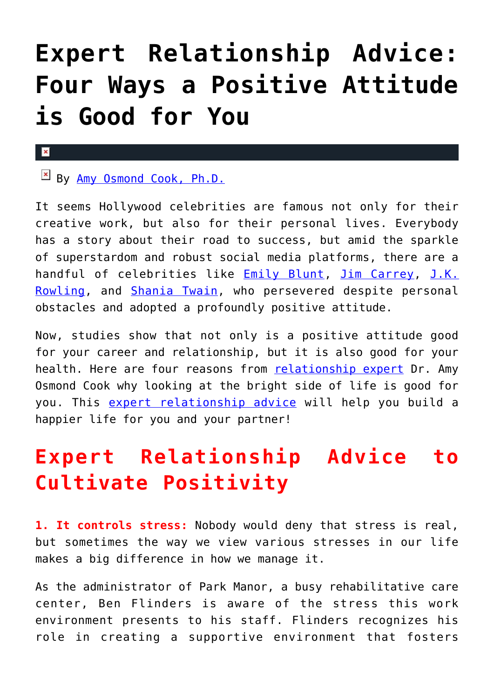## **[Expert Relationship Advice:](https://cupidspulse.com/125934/expert-relationship-advice-positive-attitude/) [Four Ways a Positive Attitude](https://cupidspulse.com/125934/expert-relationship-advice-positive-attitude/) [is Good for You](https://cupidspulse.com/125934/expert-relationship-advice-positive-attitude/)**

### $\pmb{\times}$

By [Amy Osmond Cook, Ph.D.](http://cupidspulse.com/relationship-experts/dr-amy-osmond-cook/)

It seems Hollywood celebrities are famous not only for their creative work, but also for their personal lives. Everybody has a story about their road to success, but amid the sparkle of superstardom and robust social media platforms, there are a handful of celebrities like **[Emily Blunt](https://www.themuse.com/advice/9-famous-people-who-will-inspire-you-to-never-give-up), [Jim Carrey](http://riseupeight.org/jim-carrey-overcame-years-of-adversity-to-become-successful-actor/), [J.K.](https://www.bustle.com/articles/162906-8-reasons-why-jk-rowling-is-the-ultimate-role-model)** [Rowling,](https://www.bustle.com/articles/162906-8-reasons-why-jk-rowling-is-the-ultimate-role-model) and [Shania Twain,](https://katwiseman.com/2017/09/20/why-shania-twain-was-the-feminist-role-model-i-didnt-know-i-needed-growing-up/) who persevered despite personal obstacles and adopted a profoundly positive attitude.

Now, studies show that not only is a positive attitude good for your career and relationship, but it is also good for your health. Here are four reasons from [relationship expert](http://cupidspulse.com/relationship-experts/) Dr. Amy Osmond Cook why looking at the bright side of life is good for you. This [expert relationship advice](http://cupidspulse.com/relationship-experts/) will help you build a happier life for you and your partner!

### **Expert Relationship Advice to Cultivate Positivity**

**1. It controls stress:** Nobody would deny that stress is real, but sometimes the way we view various stresses in our life makes a big difference in how we manage it.

As the administrator of Park Manor, a busy rehabilitative care center, Ben Flinders is aware of the stress this work environment presents to his staff. Flinders recognizes his role in creating a supportive environment that fosters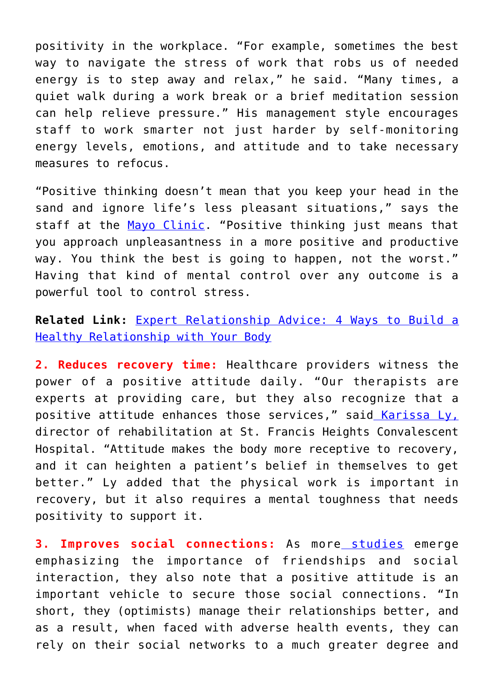positivity in the workplace. "For example, sometimes the best way to navigate the stress of work that robs us of needed energy is to step away and relax," he said. "Many times, a quiet walk during a work break or a brief meditation session can help relieve pressure." His management style encourages staff to work smarter not just harder by self-monitoring energy levels, emotions, and attitude and to take necessary measures to refocus.

"Positive thinking doesn't mean that you keep your head in the sand and ignore life's less pleasant situations," says the staff at the [Mayo Clinic](https://www.mayoclinic.org/healthy-lifestyle/stress-management/in-depth/positive-thinking/art-20043950). "Positive thinking just means that you approach unpleasantness in a more positive and productive way. You think the best is going to happen, not the worst." Having that kind of mental control over any outcome is a powerful tool to control stress.

**Related Link:** [Expert Relationship Advice: 4 Ways to Build a](http://cupidspulse.com/124496/expert-relationship-advice-relationship-body/) [Healthy Relationship with Your Body](http://cupidspulse.com/124496/expert-relationship-advice-relationship-body/)

**2. Reduces recovery time:** Healthcare providers witness the power of a positive attitude daily. "Our therapists are experts at providing care, but they also recognize that a positive attitude enhances those services," sai[d Karissa Ly,](https://lifegen.net/stfrancisheights/index.html) director of rehabilitation at St. Francis Heights Convalescent Hospital. "Attitude makes the body more receptive to recovery, and it can heighten a patient's belief in themselves to get better." Ly added that the physical work is important in recovery, but it also requires a mental toughness that needs positivity to support it.

**3. Improves social connections:** As more [studies](https://mentalhealthscreening.org/blog/the-importance-of-social-connection) emerge emphasizing the importance of friendships and social interaction, they also note that a positive attitude is an important vehicle to secure those social connections. "In short, they (optimists) manage their relationships better, and as a result, when faced with adverse health events, they can rely on their social networks to a much greater degree and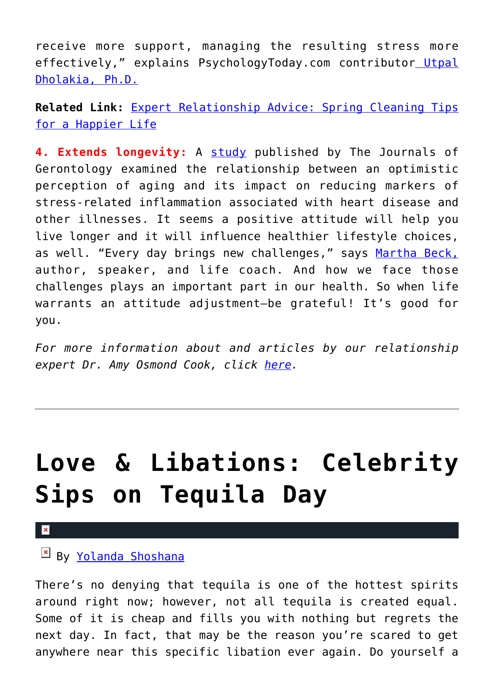receive more support, managing the resulting stress more effectively," explains PsychologyToday.com contributor [Utpal](https://www.psychologytoday.com/us/blog/the-science-behind-behavior/201607/4-reasons-why-optimistic-outlook-is-good-your-health) [Dholakia, Ph.D.](https://www.psychologytoday.com/us/blog/the-science-behind-behavior/201607/4-reasons-why-optimistic-outlook-is-good-your-health)

**Related Link:** [Expert Relationship Advice: Spring Cleaning Tips](http://cupidspulse.com/123815/expert-relationship-advice-spring-cleaning-tips-for-a-happier-life/) [for a Happier Life](http://cupidspulse.com/123815/expert-relationship-advice-spring-cleaning-tips-for-a-happier-life/)

**4. Extends longevity:** A [study](https://academic.oup.com/psychsocgerontology/article-abstract/73/3/409/2631978) published by The Journals of Gerontology examined the relationship between an optimistic perception of aging and its impact on reducing markers of stress-related inflammation associated with heart disease and other illnesses. It seems a positive attitude will help you live longer and it will influence healthier lifestyle choices, as well. "Every day brings new challenges," says [Martha Beck,](https://marthabeck.com/blog/) author, speaker, and life coach. And how we face those challenges plays an important part in our health. So when life warrants an attitude adjustment-be grateful! It's good for you.

*For more information about and articles by our relationship expert Dr. Amy Osmond Cook, click [here](http://cupidspulse.com/relationship-dating-experts/hope-after-divorce-relationship-experts/).* 

## **[Love & Libations: Celebrity](https://cupidspulse.com/125760/love-libations-celebrity-tequila-day/) [Sips on Tequila Day](https://cupidspulse.com/125760/love-libations-celebrity-tequila-day/)**

### By [Yolanda Shoshana](http://cupidspulse.com/relationship-experts/yolanda-shoshana/)

There's no denying that tequila is one of the hottest spirits around right now; however, not all tequila is created equal. Some of it is cheap and fills you with nothing but regrets the next day. In fact, that may be the reason you're scared to get anywhere near this specific libation ever again. Do yourself a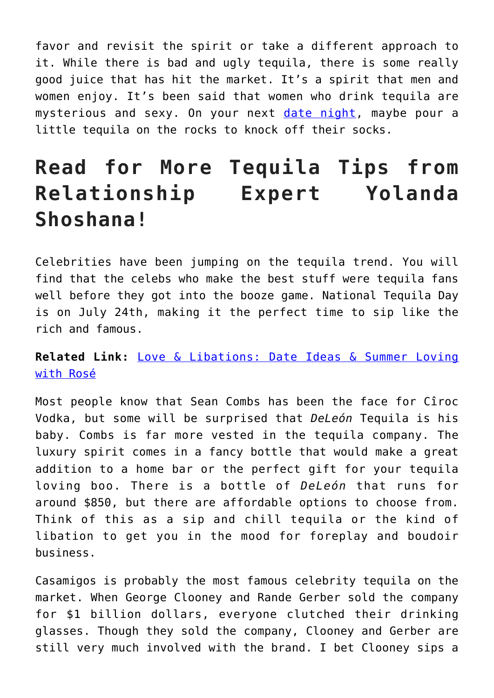favor and revisit the spirit or take a different approach to it. While there is bad and ugly tequila, there is some really good juice that has hit the market. It's a spirit that men and women enjoy. It's been said that women who drink tequila are mysterious and sexy. On your next [date night](http://cupidspulse.com/dating/date-ideas/), maybe pour a little tequila on the rocks to knock off their socks.

### **Read for More Tequila Tips from Relationship Expert Yolanda Shoshana!**

Celebrities have been jumping on the tequila trend. You will find that the celebs who make the best stuff were tequila fans well before they got into the booze game. National Tequila Day is on July 24th, making it the perfect time to sip like the rich and famous.

### **Related Link:** [Love & Libations: Date Ideas & Summer Loving](http://cupidspulse.com/123747/date-ideas-summer-loving-with-rose/) [with Rosé](http://cupidspulse.com/123747/date-ideas-summer-loving-with-rose/)

Most people know that Sean Combs has been the face for Cîroc Vodka, but some will be surprised that *DeLeón* Tequila is his baby. Combs is far more vested in the tequila company. The luxury spirit comes in a fancy bottle that would make a great addition to a home bar or the perfect gift for your tequila loving boo. There is a bottle of *DeLeón* that runs for around \$850, but there are affordable options to choose from. Think of this as a sip and chill tequila or the kind of libation to get you in the mood for foreplay and boudoir business.

Casamigos is probably the most famous celebrity tequila on the market. When George Clooney and Rande Gerber sold the company for \$1 billion dollars, everyone clutched their drinking glasses. Though they sold the company, Clooney and Gerber are still very much involved with the brand. I bet Clooney sips a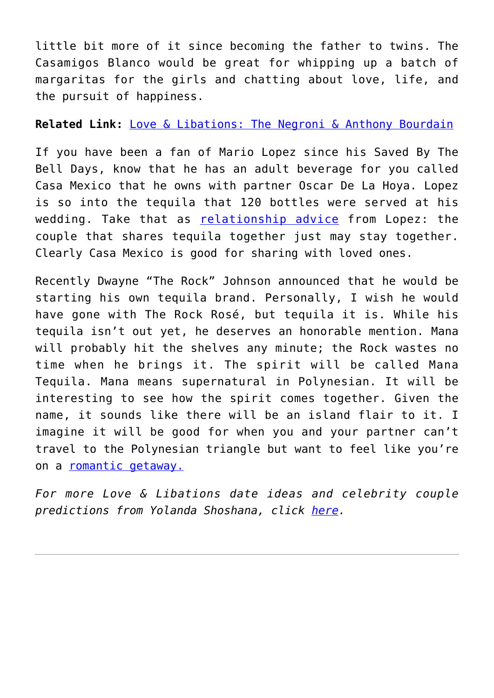little bit more of it since becoming the father to twins. The Casamigos Blanco would be great for whipping up a batch of margaritas for the girls and chatting about love, life, and the pursuit of happiness.

**Related Link:** [Love & Libations: The Negroni & Anthony Bourdain](http://cupidspulse.com/125165/love-libations-negroni-anthony-bourdain/)

If you have been a fan of Mario Lopez since his Saved By The Bell Days, know that he has an adult beverage for you called Casa Mexico that he owns with partner Oscar De La Hoya. Lopez is so into the tequila that 120 bottles were served at his wedding. Take that as [relationship advice](http://cupidspulse.com/relationship-experts/) from Lopez: the couple that shares tequila together just may stay together. Clearly Casa Mexico is good for sharing with loved ones.

Recently Dwayne "The Rock" Johnson announced that he would be starting his own tequila brand. Personally, I wish he would have gone with The Rock Rosé, but tequila it is. While his tequila isn't out yet, he deserves an honorable mention. Mana will probably hit the shelves any minute; the Rock wastes no time when he brings it. The spirit will be called Mana Tequila. Mana means supernatural in Polynesian. It will be interesting to see how the spirit comes together. Given the name, it sounds like there will be an island flair to it. I imagine it will be good for when you and your partner can't travel to the Polynesian triangle but want to feel like you're on a <u>romantic getaway.</u>

*For more Love & Libations date ideas and celebrity couple predictions from Yolanda Shoshana, click [here](http://cupidspulse.com/relationship-experts/yolanda-shoshana/).*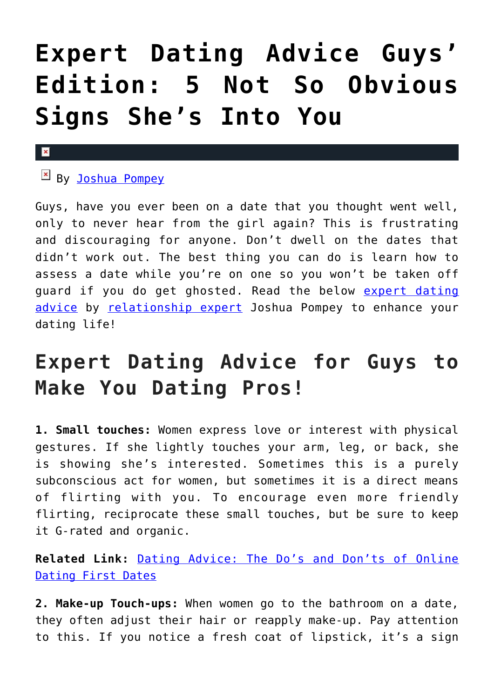## **[Expert Dating Advice Guys'](https://cupidspulse.com/125507/expert-dating-advice-guys-edition-5-signs-shes-into-you/) [Edition: 5 Not So Obvious](https://cupidspulse.com/125507/expert-dating-advice-guys-edition-5-signs-shes-into-you/) [Signs She's Into You](https://cupidspulse.com/125507/expert-dating-advice-guys-edition-5-signs-shes-into-you/)**

### $\mathbf x$

### By [Joshua Pompey](http://cupidspulse.com/relationship-experts/joshua-pompey/)

Guys, have you ever been on a date that you thought went well, only to never hear from the girl again? This is frustrating and discouraging for anyone. Don't dwell on the dates that didn't work out. The best thing you can do is learn how to assess a date while you're on one so you won't be taken off guard if you do get ghosted. Read the below [expert dating](http://cupidspulse.com/relationship-experts/) [advice](http://cupidspulse.com/relationship-experts/) by [relationship expert](http://cupidspulse.com/relationship-experts/) Joshua Pompey to enhance your dating life!

### **Expert Dating Advice for Guys to Make You Dating Pros!**

**1. Small touches:** Women express love or interest with physical gestures. If she lightly touches your arm, leg, or back, she is showing she's interested. Sometimes this is a purely subconscious act for women, but sometimes it is a direct means of flirting with you. To encourage even more friendly flirting, reciprocate these small touches, but be sure to keep it G-rated and organic.

**Related Link:** [Dating Advice: The Do's and Don'ts of Online](http://cupidspulse.com/120483/dating-advice-dos-and-donts-online/) [Dating First Dates](http://cupidspulse.com/120483/dating-advice-dos-and-donts-online/)

**2. Make-up Touch-ups:** When women go to the bathroom on a date, they often adjust their hair or reapply make-up. Pay attention to this. If you notice a fresh coat of lipstick, it's a sign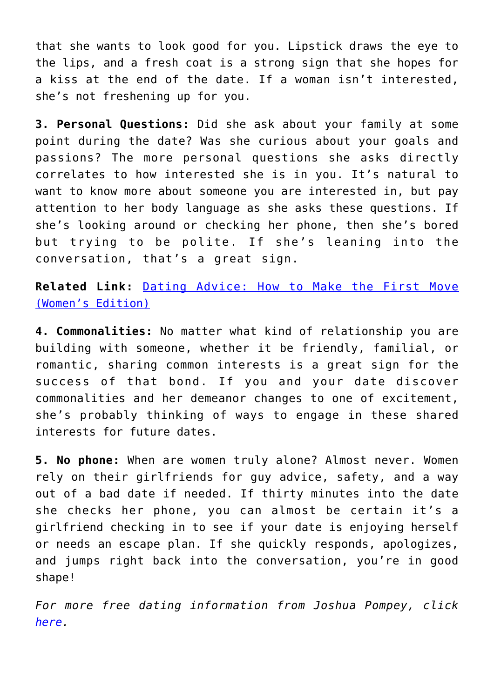that she wants to look good for you. Lipstick draws the eye to the lips, and a fresh coat is a strong sign that she hopes for a kiss at the end of the date. If a woman isn't interested, she's not freshening up for you.

**3. Personal Questions:** Did she ask about your family at some point during the date? Was she curious about your goals and passions? The more personal questions she asks directly correlates to how interested she is in you. It's natural to want to know more about someone you are interested in, but pay attention to her body language as she asks these questions. If she's looking around or checking her phone, then she's bored but trying to be polite. If she's leaning into the conversation, that's a great sign.

**Related Link:** [Dating Advice: How to Make the First Move](http://cupidspulse.com/119903/dating-advice-make-first-move-womens-edition/) [\(Women's Edition\)](http://cupidspulse.com/119903/dating-advice-make-first-move-womens-edition/)

**4. Commonalities:** No matter what kind of relationship you are building with someone, whether it be friendly, familial, or romantic, sharing common interests is a great sign for the success of that bond. If you and your date discover commonalities and her demeanor changes to one of excitement, she's probably thinking of ways to engage in these shared interests for future dates.

**5. No phone:** When are women truly alone? Almost never. Women rely on their girlfriends for guy advice, safety, and a way out of a bad date if needed. If thirty minutes into the date she checks her phone, you can almost be certain it's a girlfriend checking in to see if your date is enjoying herself or needs an escape plan. If she quickly responds, apologizes, and jumps right back into the conversation, you're in good shape!

*For more free dating information from Joshua Pompey, click [here](http://www.nemvip.com/matchmakers-for-women-over-60).*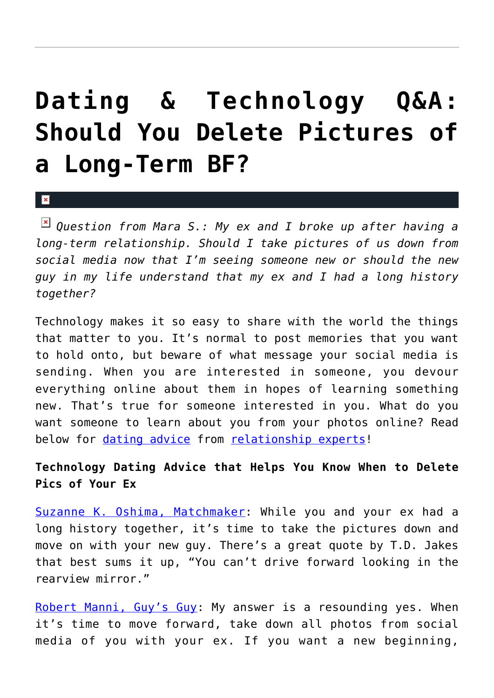## **[Dating & Technology Q&A:](https://cupidspulse.com/125428/dating-technology-qa-delete-pictures-long-term-ex/) [Should You Delete Pictures of](https://cupidspulse.com/125428/dating-technology-qa-delete-pictures-long-term-ex/) [a Long-Term BF?](https://cupidspulse.com/125428/dating-technology-qa-delete-pictures-long-term-ex/)**

#### $\mathbf{x}$

*Question from Mara S.: My ex and I broke up after having a long-term relationship. Should I take pictures of us down from social media now that I'm seeing someone new or should the new guy in my life understand that my ex and I had a long history together?*

Technology makes it so easy to share with the world the things that matter to you. It's normal to post memories that you want to hold onto, but beware of what message your social media is sending. When you are interested in someone, you devour everything online about them in hopes of learning something new. That's true for someone interested in you. What do you want someone to learn about you from your photos online? Read below for [dating advice](http://cupidspulse.com/videos/dating-advice-videos/) from [relationship experts!](http://cupidspulse.com/relationship-experts/)

### **Technology Dating Advice that Helps You Know When to Delete Pics of Your Ex**

[Suzanne K. Oshima, Matchmaker:](http://www.dreambachelor.com/) While you and your ex had a long history together, it's time to take the pictures down and move on with your new guy. There's a great quote by T.D. Jakes that best sums it up, "You can't drive forward looking in the rearview mirror."

[Robert Manni, Guy's Guy:](http://www.robertmanni.com/) My answer is a resounding yes. When it's time to move forward, take down all photos from social media of you with your ex. If you want a new beginning,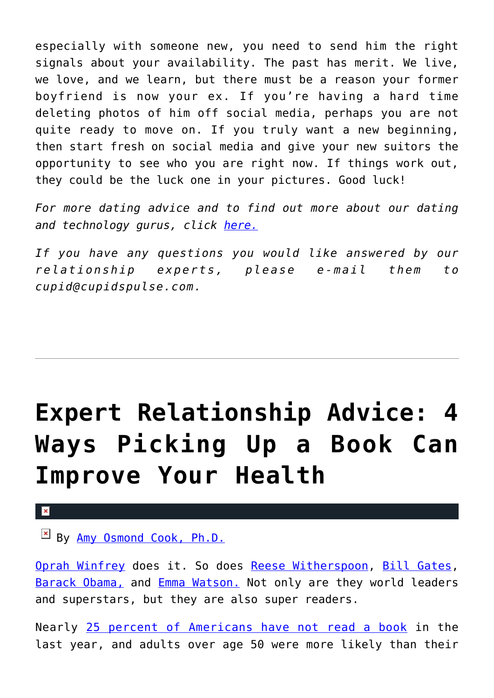especially with someone new, you need to send him the right signals about your availability. The past has merit. We live, we love, and we learn, but there must be a reason your former boyfriend is now your ex. If you're having a hard time deleting photos of him off social media, perhaps you are not quite ready to move on. If you truly want a new beginning, then start fresh on social media and give your new suitors the opportunity to see who you are right now. If things work out, they could be the luck one in your pictures. Good luck!

*For more dating advice and to find out more about our dating and technology gurus, click [here.](http://cupidspulse.com/relationship-dating-experts/oshima-wyatt-manni-technology-experts/)*

*If you have any questions you would like answered by our relationship experts, please e-mail them to cupid@cupidspulse.com.*

## **[Expert Relationship Advice: 4](https://cupidspulse.com/125254/expert-relationship-advice-picking-up-book-improve-health/) [Ways Picking Up a Book Can](https://cupidspulse.com/125254/expert-relationship-advice-picking-up-book-improve-health/) [Improve Your Health](https://cupidspulse.com/125254/expert-relationship-advice-picking-up-book-improve-health/)**

#### $\pmb{\times}$

By <u>Amy Osmond Cook, Ph.D.</u>

[Oprah Winfrey](http://www.oprah.com/app/books.html) does it. So does [Reese Witherspoon](https://people.com/books/reese-witherspoon-favorite-books/), [Bill Gates,](http://www.businessinsider.com/why-bill-gates-reads-50-books-a-year-2015-11) [Barack Obama,](https://www.huffingtonpost.com/oyster-books/famous-favorites-read-the_b_5512888.html) and [Emma Watson.](https://ew.com/books/emma-watson-2016-books/) Not only are they world leaders and superstars, but they are also super readers.

Nearly [25 percent of Americans have not read a book](http://www.pewresearch.org/fact-tank/2018/03/23/who-doesnt-read-books-in-america/) in the last year, and adults over age 50 were more likely than their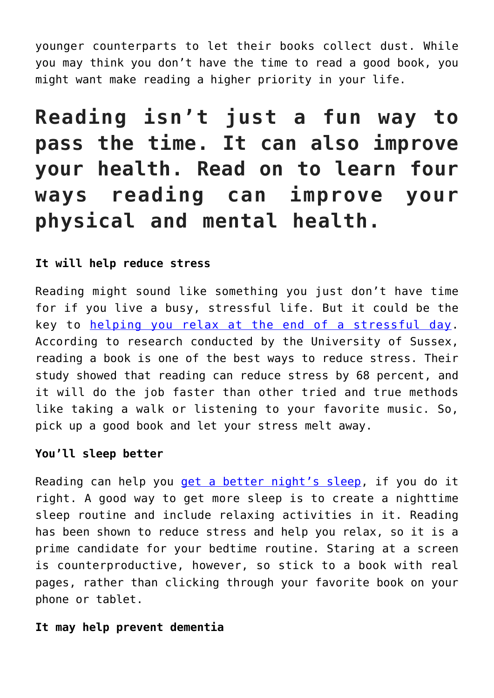younger counterparts to let their books collect dust. While you may think you don't have the time to read a good book, you might want make reading a higher priority in your life.

**Reading isn't just a fun way to pass the time. It can also improve your health. Read on to learn four ways reading can improve your physical and mental health.**

### **It will help reduce stress**

Reading might sound like something you just don't have time for if you live a busy, stressful life. But it could be the key to [helping you relax at the end of a stressful day.](https://www.telegraph.co.uk/news/health/news/5070874/Reading-can-help-reduce-stress.html) According to research conducted by the University of Sussex, reading a book is one of the best ways to reduce stress. Their study showed that reading can reduce stress by 68 percent, and it will do the job faster than other tried and true methods like taking a walk or listening to your favorite music. So, pick up a good book and let your stress melt away.

### **You'll sleep better**

Reading can help you [get a better night's sleep](https://www.prevention.com/life/a20454389/reading-has-hidden-health-benefits/), if you do it right. A good way to get more sleep is to create a nighttime sleep routine and include relaxing activities in it. Reading has been shown to reduce stress and help you relax, so it is a prime candidate for your bedtime routine. Staring at a screen is counterproductive, however, so stick to a book with real pages, rather than clicking through your favorite book on your phone or tablet.

### **It may help prevent dementia**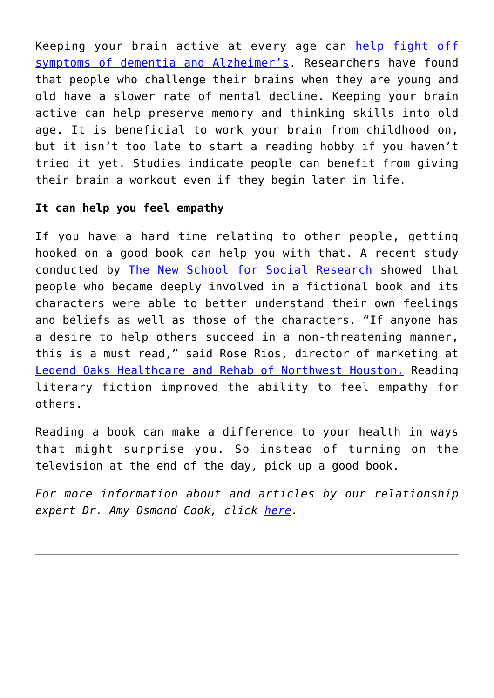Keeping your brain active at every age can [help fight off](https://www.alzinfo.org/articles/reading-alzheimers-bay/) [symptoms of dementia and Alzheimer's.](https://www.alzinfo.org/articles/reading-alzheimers-bay/) Researchers have found that people who challenge their brains when they are young and old have a slower rate of mental decline. Keeping your brain active can help preserve memory and thinking skills into old age. It is beneficial to work your brain from childhood on, but it isn't too late to start a reading hobby if you haven't tried it yet. Studies indicate people can benefit from giving their brain a workout even if they begin later in life.

### **It can help you feel empathy**

If you have a hard time relating to other people, getting hooked on a good book can help you with that. A recent study conducted by [The New School for Social Research](http://science.sciencemag.org/content/342/6156/377) showed that people who became deeply involved in a fictional book and its characters were able to better understand their own feelings and beliefs as well as those of the characters. "If anyone has a desire to help others succeed in a non-threatening manner, this is a must read," said Rose Rios, director of marketing at [Legend Oaks Healthcare and Rehab of Northwest Houston.](http://legendnorthwesthouston.com/) Reading literary fiction improved the ability to feel empathy for others.

Reading a book can make a difference to your health in ways that might surprise you. So instead of turning on the television at the end of the day, pick up a good book.

*For more information about and articles by our relationship expert Dr. Amy Osmond Cook, click [here](http://cupidspulse.com/relationship-dating-experts/hope-after-divorce-relationship-experts/).*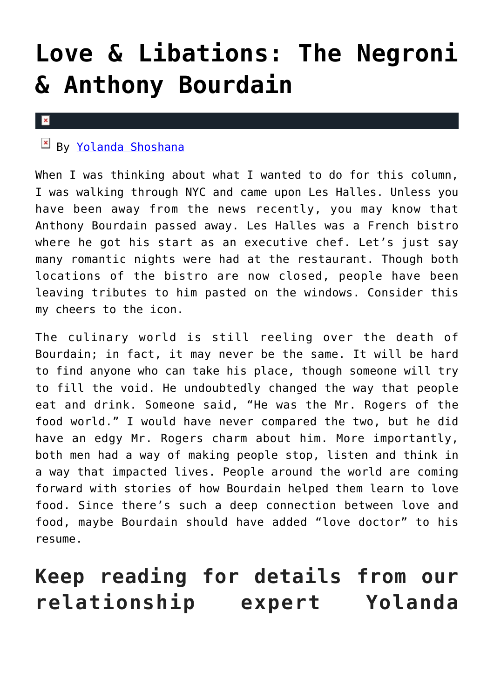## **[Love & Libations: The Negroni](https://cupidspulse.com/125165/love-libations-negroni-anthony-bourdain/) [& Anthony Bourdain](https://cupidspulse.com/125165/love-libations-negroni-anthony-bourdain/)**

#### $\pmb{\times}$

### By [Yolanda Shoshana](http://cupidspulse.com/relationship-experts/yolanda-shoshana/)

When I was thinking about what I wanted to do for this column, I was walking through NYC and came upon Les Halles. Unless you have been away from the news recently, you may know that Anthony Bourdain passed away. Les Halles was a French bistro where he got his start as an executive chef. Let's just say many romantic nights were had at the restaurant. Though both locations of the bistro are now closed, people have been leaving tributes to him pasted on the windows. Consider this my cheers to the icon.

The culinary world is still reeling over the death of Bourdain; in fact, it may never be the same. It will be hard to find anyone who can take his place, though someone will try to fill the void. He undoubtedly changed the way that people eat and drink. Someone said, "He was the Mr. Rogers of the food world." I would have never compared the two, but he did have an edgy Mr. Rogers charm about him. More importantly, both men had a way of making people stop, listen and think in a way that impacted lives. People around the world are coming forward with stories of how Bourdain helped them learn to love food. Since there's such a deep connection between love and food, maybe Bourdain should have added "love doctor" to his resume.

### **Keep reading for details from our relationship expert Yolanda**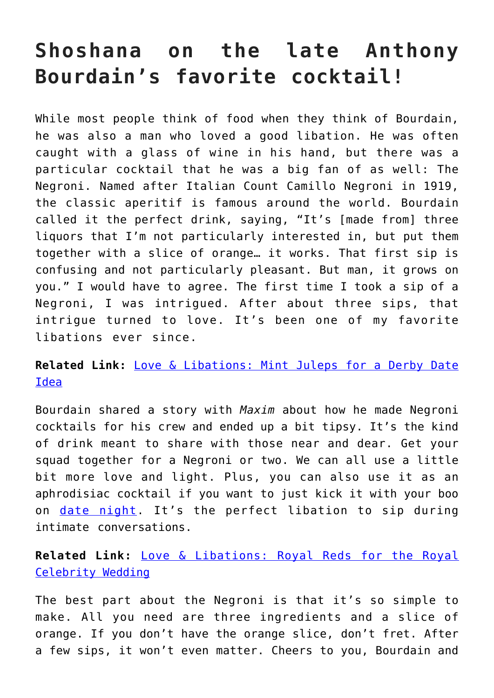### **Shoshana on the late Anthony Bourdain's favorite cocktail!**

While most people think of food when they think of Bourdain, he was also a man who loved a good libation. He was often caught with a glass of wine in his hand, but there was a particular cocktail that he was a big fan of as well: The Negroni. Named after Italian Count Camillo Negroni in 1919, the classic aperitif is famous around the world. Bourdain called it the perfect drink, saying, "It's [made from] three liquors that I'm not particularly interested in, but put them together with a slice of orange… it works. That first sip is confusing and not particularly pleasant. But man, it grows on you." I would have to agree. The first time I took a sip of a Negroni, I was intrigued. After about three sips, that intrigue turned to love. It's been one of my favorite libations ever since.

### **Related Link:** [Love & Libations: Mint Juleps for a Derby Date](http://cupidspulse.com/124182/love-libations-mint-juleps-derby-date-idea/) [Idea](http://cupidspulse.com/124182/love-libations-mint-juleps-derby-date-idea/)

Bourdain shared a story with *Maxim* about how he made Negroni cocktails for his crew and ended up a bit tipsy. It's the kind of drink meant to share with those near and dear. Get your squad together for a Negroni or two. We can all use a little bit more love and light. Plus, you can also use it as an aphrodisiac cocktail if you want to just kick it with your boo on [date night](http://cupidspulse.com/dating/date-ideas/). It's the perfect libation to sip during intimate conversations.

### **Related Link:** [Love & Libations: Royal Reds for the Royal](http://cupidspulse.com/124704/love-libations-reds-royal-celebrity-wedding/) [Celebrity Wedding](http://cupidspulse.com/124704/love-libations-reds-royal-celebrity-wedding/)

The best part about the Negroni is that it's so simple to make. All you need are three ingredients and a slice of orange. If you don't have the orange slice, don't fret. After a few sips, it won't even matter. Cheers to you, Bourdain and